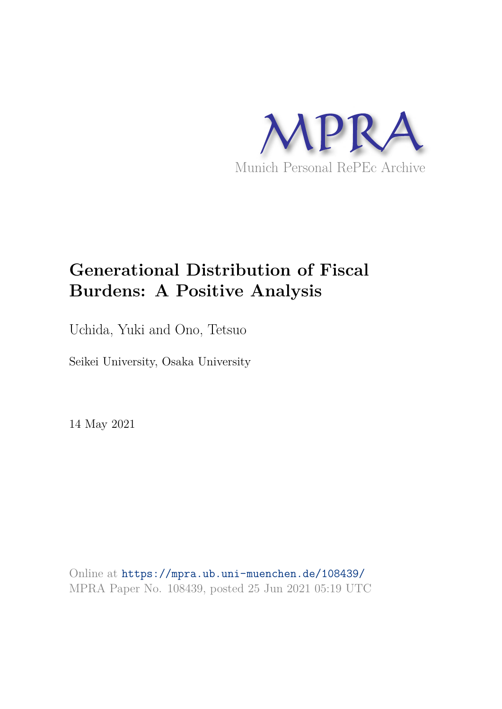

# **Generational Distribution of Fiscal Burdens: A Positive Analysis**

Uchida, Yuki and Ono, Tetsuo

Seikei University, Osaka University

14 May 2021

Online at https://mpra.ub.uni-muenchen.de/108439/ MPRA Paper No. 108439, posted 25 Jun 2021 05:19 UTC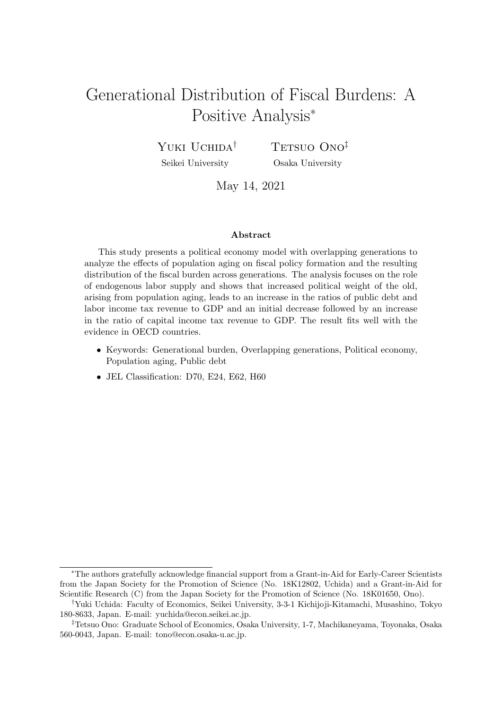## Generational Distribution of Fiscal Burdens: A Positive Analysis<sup>∗</sup>

Yuki Uchida<sup>†</sup> Seikei University

TETSUO ONO<sup>‡</sup> Osaka University

May 14, 2021

#### Abstract

This study presents a political economy model with overlapping generations to analyze the effects of population aging on fiscal policy formation and the resulting distribution of the fiscal burden across generations. The analysis focuses on the role of endogenous labor supply and shows that increased political weight of the old, arising from population aging, leads to an increase in the ratios of public debt and labor income tax revenue to GDP and an initial decrease followed by an increase in the ratio of capital income tax revenue to GDP. The result fits well with the evidence in OECD countries.

- Keywords: Generational burden, Overlapping generations, Political economy, Population aging, Public debt
- JEL Classification: D70, E24, E62, H60

<sup>∗</sup>The authors gratefully acknowledge financial support from a Grant-in-Aid for Early-Career Scientists from the Japan Society for the Promotion of Science (No. 18K12802, Uchida) and a Grant-in-Aid for Scientific Research (C) from the Japan Society for the Promotion of Science (No. 18K01650, Ono).

<sup>†</sup>Yuki Uchida: Faculty of Economics, Seikei University, 3-3-1 Kichijoji-Kitamachi, Musashino, Tokyo 180-8633, Japan. E-mail: yuchida@econ.seikei.ac.jp.

<sup>‡</sup>Tetsuo Ono: Graduate School of Economics, Osaka University, 1-7, Machikaneyama, Toyonaka, Osaka 560-0043, Japan. E-mail: tono@econ.osaka-u.ac.jp.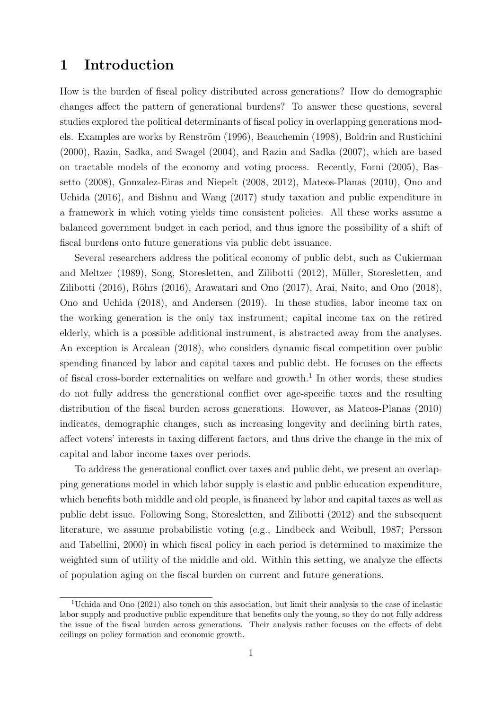### 1 Introduction

How is the burden of fiscal policy distributed across generations? How do demographic changes affect the pattern of generational burdens? To answer these questions, several studies explored the political determinants of fiscal policy in overlapping generations models. Examples are works by Renström (1996), Beauchemin (1998), Boldrin and Rustichini (2000), Razin, Sadka, and Swagel (2004), and Razin and Sadka (2007), which are based on tractable models of the economy and voting process. Recently, Forni (2005), Bassetto (2008), Gonzalez-Eiras and Niepelt (2008, 2012), Mateos-Planas (2010), Ono and Uchida (2016), and Bishnu and Wang (2017) study taxation and public expenditure in a framework in which voting yields time consistent policies. All these works assume a balanced government budget in each period, and thus ignore the possibility of a shift of fiscal burdens onto future generations via public debt issuance.

Several researchers address the political economy of public debt, such as Cukierman and Meltzer (1989), Song, Storesletten, and Zilibotti (2012), M¨uller, Storesletten, and Zilibotti (2016), Röhrs (2016), Arawatari and Ono (2017), Arai, Naito, and Ono (2018), Ono and Uchida (2018), and Andersen (2019). In these studies, labor income tax on the working generation is the only tax instrument; capital income tax on the retired elderly, which is a possible additional instrument, is abstracted away from the analyses. An exception is Arcalean (2018), who considers dynamic fiscal competition over public spending financed by labor and capital taxes and public debt. He focuses on the effects of fiscal cross-border externalities on welfare and growth.<sup>1</sup> In other words, these studies do not fully address the generational conflict over age-specific taxes and the resulting distribution of the fiscal burden across generations. However, as Mateos-Planas (2010) indicates, demographic changes, such as increasing longevity and declining birth rates, affect voters' interests in taxing different factors, and thus drive the change in the mix of capital and labor income taxes over periods.

To address the generational conflict over taxes and public debt, we present an overlapping generations model in which labor supply is elastic and public education expenditure, which benefits both middle and old people, is financed by labor and capital taxes as well as public debt issue. Following Song, Storesletten, and Zilibotti (2012) and the subsequent literature, we assume probabilistic voting (e.g., Lindbeck and Weibull, 1987; Persson and Tabellini, 2000) in which fiscal policy in each period is determined to maximize the weighted sum of utility of the middle and old. Within this setting, we analyze the effects of population aging on the fiscal burden on current and future generations.

<sup>1</sup>Uchida and Ono (2021) also touch on this association, but limit their analysis to the case of inelastic labor supply and productive public expenditure that benefits only the young, so they do not fully address the issue of the fiscal burden across generations. Their analysis rather focuses on the effects of debt ceilings on policy formation and economic growth.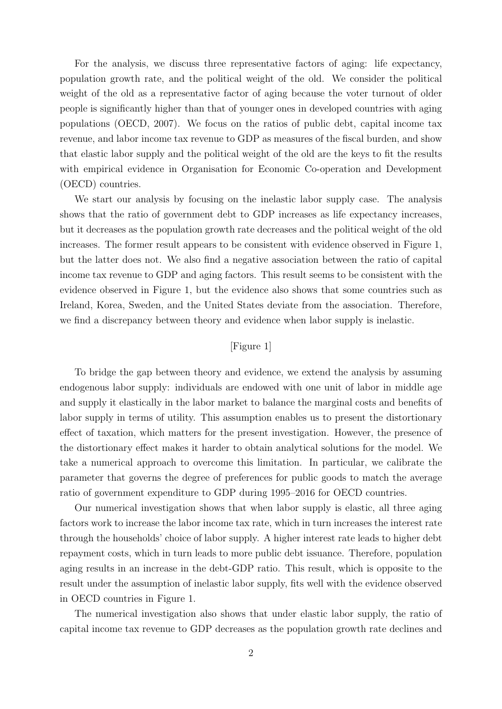For the analysis, we discuss three representative factors of aging: life expectancy, population growth rate, and the political weight of the old. We consider the political weight of the old as a representative factor of aging because the voter turnout of older people is significantly higher than that of younger ones in developed countries with aging populations (OECD, 2007). We focus on the ratios of public debt, capital income tax revenue, and labor income tax revenue to GDP as measures of the fiscal burden, and show that elastic labor supply and the political weight of the old are the keys to fit the results with empirical evidence in Organisation for Economic Co-operation and Development (OECD) countries.

We start our analysis by focusing on the inelastic labor supply case. The analysis shows that the ratio of government debt to GDP increases as life expectancy increases, but it decreases as the population growth rate decreases and the political weight of the old increases. The former result appears to be consistent with evidence observed in Figure 1, but the latter does not. We also find a negative association between the ratio of capital income tax revenue to GDP and aging factors. This result seems to be consistent with the evidence observed in Figure 1, but the evidence also shows that some countries such as Ireland, Korea, Sweden, and the United States deviate from the association. Therefore, we find a discrepancy between theory and evidence when labor supply is inelastic.

#### [Figure 1]

To bridge the gap between theory and evidence, we extend the analysis by assuming endogenous labor supply: individuals are endowed with one unit of labor in middle age and supply it elastically in the labor market to balance the marginal costs and benefits of labor supply in terms of utility. This assumption enables us to present the distortionary effect of taxation, which matters for the present investigation. However, the presence of the distortionary effect makes it harder to obtain analytical solutions for the model. We take a numerical approach to overcome this limitation. In particular, we calibrate the parameter that governs the degree of preferences for public goods to match the average ratio of government expenditure to GDP during 1995–2016 for OECD countries.

Our numerical investigation shows that when labor supply is elastic, all three aging factors work to increase the labor income tax rate, which in turn increases the interest rate through the households' choice of labor supply. A higher interest rate leads to higher debt repayment costs, which in turn leads to more public debt issuance. Therefore, population aging results in an increase in the debt-GDP ratio. This result, which is opposite to the result under the assumption of inelastic labor supply, fits well with the evidence observed in OECD countries in Figure 1.

The numerical investigation also shows that under elastic labor supply, the ratio of capital income tax revenue to GDP decreases as the population growth rate declines and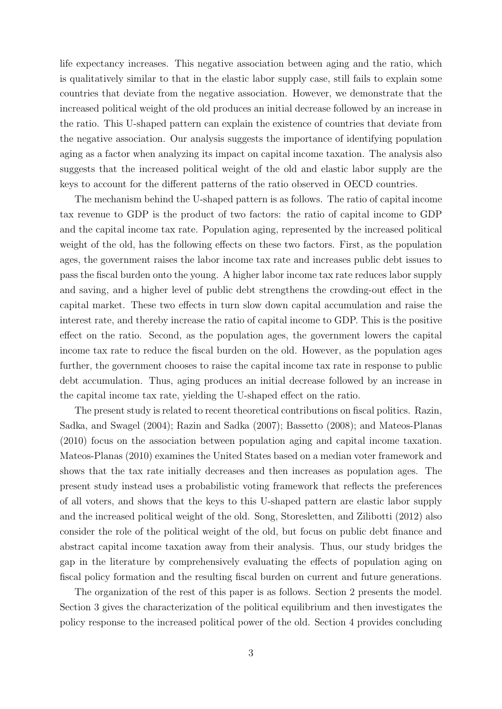life expectancy increases. This negative association between aging and the ratio, which is qualitatively similar to that in the elastic labor supply case, still fails to explain some countries that deviate from the negative association. However, we demonstrate that the increased political weight of the old produces an initial decrease followed by an increase in the ratio. This U-shaped pattern can explain the existence of countries that deviate from the negative association. Our analysis suggests the importance of identifying population aging as a factor when analyzing its impact on capital income taxation. The analysis also suggests that the increased political weight of the old and elastic labor supply are the keys to account for the different patterns of the ratio observed in OECD countries.

The mechanism behind the U-shaped pattern is as follows. The ratio of capital income tax revenue to GDP is the product of two factors: the ratio of capital income to GDP and the capital income tax rate. Population aging, represented by the increased political weight of the old, has the following effects on these two factors. First, as the population ages, the government raises the labor income tax rate and increases public debt issues to pass the fiscal burden onto the young. A higher labor income tax rate reduces labor supply and saving, and a higher level of public debt strengthens the crowding-out effect in the capital market. These two effects in turn slow down capital accumulation and raise the interest rate, and thereby increase the ratio of capital income to GDP. This is the positive effect on the ratio. Second, as the population ages, the government lowers the capital income tax rate to reduce the fiscal burden on the old. However, as the population ages further, the government chooses to raise the capital income tax rate in response to public debt accumulation. Thus, aging produces an initial decrease followed by an increase in the capital income tax rate, yielding the U-shaped effect on the ratio.

The present study is related to recent theoretical contributions on fiscal politics. Razin, Sadka, and Swagel (2004); Razin and Sadka (2007); Bassetto (2008); and Mateos-Planas (2010) focus on the association between population aging and capital income taxation. Mateos-Planas (2010) examines the United States based on a median voter framework and shows that the tax rate initially decreases and then increases as population ages. The present study instead uses a probabilistic voting framework that reflects the preferences of all voters, and shows that the keys to this U-shaped pattern are elastic labor supply and the increased political weight of the old. Song, Storesletten, and Zilibotti (2012) also consider the role of the political weight of the old, but focus on public debt finance and abstract capital income taxation away from their analysis. Thus, our study bridges the gap in the literature by comprehensively evaluating the effects of population aging on fiscal policy formation and the resulting fiscal burden on current and future generations.

The organization of the rest of this paper is as follows. Section 2 presents the model. Section 3 gives the characterization of the political equilibrium and then investigates the policy response to the increased political power of the old. Section 4 provides concluding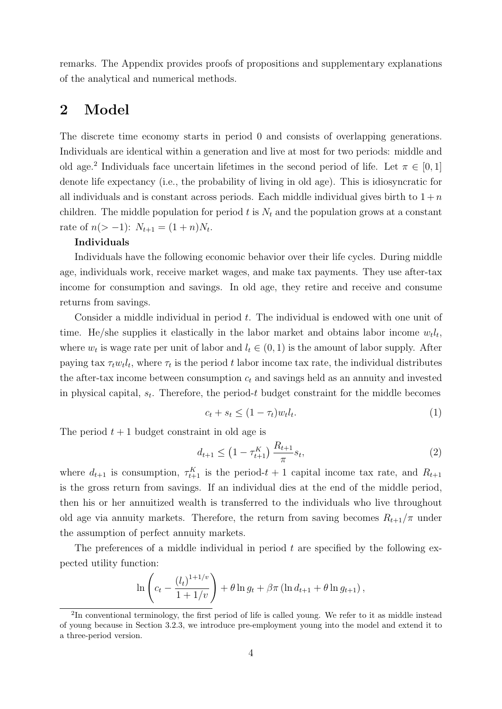remarks. The Appendix provides proofs of propositions and supplementary explanations of the analytical and numerical methods.

### 2 Model

The discrete time economy starts in period 0 and consists of overlapping generations. Individuals are identical within a generation and live at most for two periods: middle and old age.<sup>2</sup> Individuals face uncertain lifetimes in the second period of life. Let  $\pi \in [0,1]$ denote life expectancy (i.e., the probability of living in old age). This is idiosyncratic for all individuals and is constant across periods. Each middle individual gives birth to  $1 + n$ children. The middle population for period t is  $N_t$  and the population grows at a constant rate of  $n(>-1)$ :  $N_{t+1} = (1+n)N_t$ .

#### Individuals

Individuals have the following economic behavior over their life cycles. During middle age, individuals work, receive market wages, and make tax payments. They use after-tax income for consumption and savings. In old age, they retire and receive and consume returns from savings.

Consider a middle individual in period  $t$ . The individual is endowed with one unit of time. He/she supplies it elastically in the labor market and obtains labor income  $w_t l_t$ , where  $w_t$  is wage rate per unit of labor and  $l_t \in (0, 1)$  is the amount of labor supply. After paying tax  $\tau_t w_t l_t$ , where  $\tau_t$  is the period t labor income tax rate, the individual distributes the after-tax income between consumption  $c_t$  and savings held as an annuity and invested in physical capital,  $s_t$ . Therefore, the period-t budget constraint for the middle becomes

$$
c_t + s_t \le (1 - \tau_t) w_t l_t. \tag{1}
$$

The period  $t + 1$  budget constraint in old age is

$$
d_{t+1} \leq \left(1 - \tau_{t+1}^K\right) \frac{R_{t+1}}{\pi} s_t,\tag{2}
$$

where  $d_{t+1}$  is consumption,  $\tau_{t+1}^K$  is the period- $t+1$  capital income tax rate, and  $R_{t+1}$ is the gross return from savings. If an individual dies at the end of the middle period, then his or her annuitized wealth is transferred to the individuals who live throughout old age via annuity markets. Therefore, the return from saving becomes  $R_{t+1}/\pi$  under the assumption of perfect annuity markets.

The preferences of a middle individual in period  $t$  are specified by the following expected utility function:

$$
\ln \left( c_t - \frac{(l_t)^{1+1/v}}{1+1/v} \right) + \theta \ln g_t + \beta \pi \left( \ln d_{t+1} + \theta \ln g_{t+1} \right),
$$

<sup>&</sup>lt;sup>2</sup>In conventional terminology, the first period of life is called young. We refer to it as middle instead of young because in Section 3.2.3, we introduce pre-employment young into the model and extend it to a three-period version.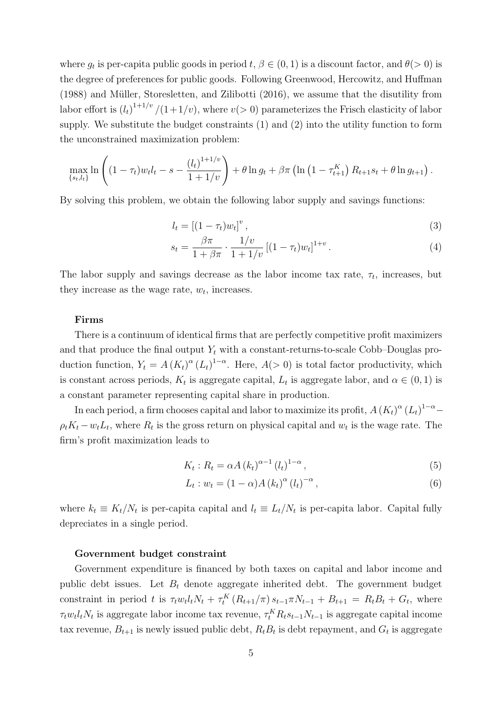where  $g_t$  is per-capita public goods in period  $t, \beta \in (0, 1)$  is a discount factor, and  $\theta(>0)$  is the degree of preferences for public goods. Following Greenwood, Hercowitz, and Huffman  $(1988)$  and Müller, Storesletten, and Zilibotti  $(2016)$ , we assume that the disutility from labor effort is  $(l_t)^{1+1/v}$  /(1+1/v), where  $v(>0)$  parameterizes the Frisch elasticity of labor supply. We substitute the budget constraints (1) and (2) into the utility function to form the unconstrained maximization problem:

$$
\max_{\{s_t, l_t\}} \ln \left( (1 - \tau_t) w_t l_t - s - \frac{(l_t)^{1 + 1/v}}{1 + 1/v} \right) + \theta \ln g_t + \beta \pi \left( \ln \left( 1 - \tau_{t+1}^K \right) R_{t+1} s_t + \theta \ln g_{t+1} \right).
$$

By solving this problem, we obtain the following labor supply and savings functions:

$$
l_t = \left[ (1 - \tau_t) w_t \right]^v,\tag{3}
$$

$$
s_t = \frac{\beta \pi}{1 + \beta \pi} \cdot \frac{1/v}{1 + 1/v} \left[ (1 - \tau_t) w_t \right]^{1+v} . \tag{4}
$$

The labor supply and savings decrease as the labor income tax rate,  $\tau_t$ , increases, but they increase as the wage rate,  $w_t$ , increases.

#### Firms

There is a continuum of identical firms that are perfectly competitive profit maximizers and that produce the final output  $Y_t$  with a constant-returns-to-scale Cobb–Douglas production function,  $Y_t = A (K_t)^{\alpha} (L_t)^{1-\alpha}$ . Here,  $A(>0)$  is total factor productivity, which is constant across periods,  $K_t$  is aggregate capital,  $L_t$  is aggregate labor, and  $\alpha \in (0,1)$  is a constant parameter representing capital share in production.

In each period, a firm chooses capital and labor to maximize its profit,  $A\left(K_{t}\right)^{\alpha}\left(L_{t}\right)^{1-\alpha} \rho_t K_t - w_t L_t$ , where  $R_t$  is the gross return on physical capital and  $w_t$  is the wage rate. The firm's profit maximization leads to

$$
K_t: R_t = \alpha A \left( k_t \right)^{\alpha - 1} \left( l_t \right)^{1 - \alpha}, \tag{5}
$$

$$
L_t: w_t = (1 - \alpha) A (k_t)^{\alpha} (l_t)^{-\alpha}, \qquad (6)
$$

where  $k_t \equiv K_t/N_t$  is per-capita capital and  $l_t \equiv L_t/N_t$  is per-capita labor. Capital fully depreciates in a single period.

#### Government budget constraint

Government expenditure is financed by both taxes on capital and labor income and public debt issues. Let  $B_t$  denote aggregate inherited debt. The government budget constraint in period t is  $\tau_t w_t l_t N_t + \tau_t^K (R_{t+1}/\pi) s_{t-1} \pi N_{t-1} + B_{t+1} = R_t B_t + G_t$ , where  $\tau_t w_t l_t N_t$  is aggregate labor income tax revenue,  $\tau_t^K R_t s_{t-1} N_{t-1}$  is aggregate capital income tax revenue,  $B_{t+1}$  is newly issued public debt,  $R_t B_t$  is debt repayment, and  $G_t$  is aggregate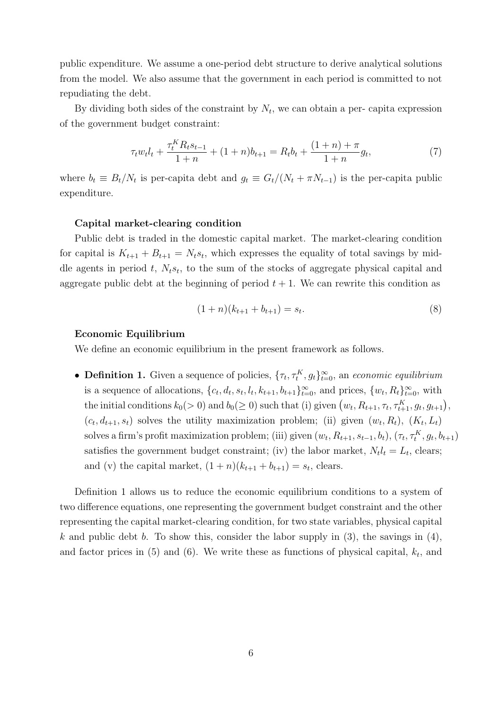public expenditure. We assume a one-period debt structure to derive analytical solutions from the model. We also assume that the government in each period is committed to not repudiating the debt.

By dividing both sides of the constraint by  $N_t$ , we can obtain a per- capita expression of the government budget constraint:

$$
\tau_t w_t l_t + \frac{\tau_t^K R_t s_{t-1}}{1+n} + (1+n)b_{t+1} = R_t b_t + \frac{(1+n) + \pi}{1+n} g_t,
$$
\n<sup>(7)</sup>

where  $b_t \equiv B_t/N_t$  is per-capita debt and  $g_t \equiv G_t/(N_t + \pi N_{t-1})$  is the per-capita public expenditure.

#### Capital market-clearing condition

Public debt is traded in the domestic capital market. The market-clearing condition for capital is  $K_{t+1} + B_{t+1} = N_t s_t$ , which expresses the equality of total savings by middle agents in period  $t$ ,  $N_t s_t$ , to the sum of the stocks of aggregate physical capital and aggregate public debt at the beginning of period  $t + 1$ . We can rewrite this condition as

$$
(1+n)(k_{t+1} + b_{t+1}) = s_t.
$$
\n(8)

#### Economic Equilibrium

We define an economic equilibrium in the present framework as follows.

• **Definition 1.** Given a sequence of policies,  $\{\tau_t, \tau_t^K, g_t\}_{t=0}^{\infty}$ , an *economic equilibrium* is a sequence of allocations,  $\{c_t, d_t, s_t, l_t, k_{t+1}, b_{t+1}\}_{t=0}^{\infty}$ , and prices,  $\{w_t, R_t\}_{t=0}^{\infty}$ , with the initial conditions  $k_0(>0)$  and  $b_0(\geq 0)$  such that (i) given  $(w_t, R_{t+1}, \tau_t, \tau_{t+1}^K, g_t, g_{t+1}),$  $(c_t, d_{t+1}, s_t)$  solves the utility maximization problem; (ii) given  $(w_t, R_t)$ ,  $(K_t, L_t)$ solves a firm's profit maximization problem; (iii) given  $(w_t, R_{t+1}, s_{t-1}, b_t)$ ,  $(\tau_t, \tau_t^K, g_t, b_{t+1})$ satisfies the government budget constraint; (iv) the labor market,  $N_t l_t = L_t$ , clears; and (v) the capital market,  $(1+n)(k_{t+1} + b_{t+1}) = s_t$ , clears.

Definition 1 allows us to reduce the economic equilibrium conditions to a system of two difference equations, one representing the government budget constraint and the other representing the capital market-clearing condition, for two state variables, physical capital k and public debt b. To show this, consider the labor supply in  $(3)$ , the savings in  $(4)$ , and factor prices in  $(5)$  and  $(6)$ . We write these as functions of physical capital,  $k_t$ , and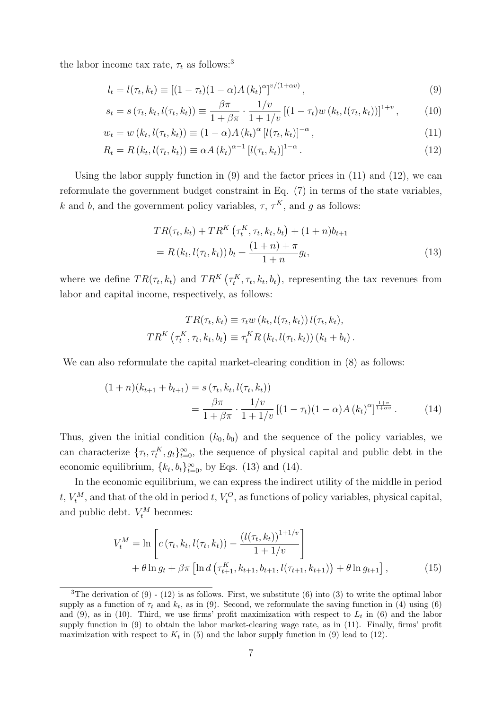the labor income tax rate,  $\tau_t$  as follows:<sup>3</sup>

$$
l_t = l(\tau_t, k_t) \equiv \left[ (1 - \tau_t)(1 - \alpha)A(k_t)^{\alpha} \right]^{v/(1 + \alpha v)}, \tag{9}
$$

$$
s_t = s(\tau_t, k_t, l(\tau_t, k_t)) \equiv \frac{\beta \pi}{1 + \beta \pi} \cdot \frac{1/v}{1 + 1/v} \left[ (1 - \tau_t) w(k_t, l(\tau_t, k_t)) \right]^{1+v}, \tag{10}
$$

$$
w_t = w(k_t, l(\tau_t, k_t)) \equiv (1 - \alpha) A(k_t)^{\alpha} [l(\tau_t, k_t)]^{-\alpha}, \qquad (11)
$$

$$
R_t = R(k_t, l(\tau_t, k_t)) \equiv \alpha A(k_t)^{\alpha - 1} [l(\tau_t, k_t)]^{1 - \alpha}.
$$
\n(12)

Using the labor supply function in (9) and the factor prices in (11) and (12), we can reformulate the government budget constraint in Eq. (7) in terms of the state variables, k and b, and the government policy variables,  $\tau$ ,  $\tau^K$ , and g as follows:

$$
TR(\tau_t, k_t) + TR^K(\tau_t^K, \tau_t, k_t, b_t) + (1+n)b_{t+1}
$$
  
=  $R(k_t, l(\tau_t, k_t)) b_t + \frac{(1+n) + \pi}{1+n} g_t,$  (13)

where we define  $TR(\tau_t, k_t)$  and  $TR^K(\tau_t^K, \tau_t, k_t, b_t)$ , representing the tax revenues from labor and capital income, respectively, as follows:

$$
TR(\tau_t, k_t) \equiv \tau_t w (k_t, l(\tau_t, k_t)) l(\tau_t, k_t),
$$
  

$$
TR^{K} (\tau_t^{K}, \tau_t, k_t, b_t) \equiv \tau_t^{K} R (k_t, l(\tau_t, k_t)) (k_t + b_t).
$$

We can also reformulate the capital market-clearing condition in  $(8)$  as follows:

$$
(1+n)(k_{t+1} + b_{t+1}) = s(\tau_t, k_t, l(\tau_t, k_t))
$$
  
= 
$$
\frac{\beta \pi}{1 + \beta \pi} \cdot \frac{1/v}{1 + 1/v} [(1 - \tau_t)(1 - \alpha)A(k_t)^{\alpha}]^{\frac{1+v}{1 + \alpha v}}.
$$
 (14)

Thus, given the initial condition  $(k_0, b_0)$  and the sequence of the policy variables, we can characterize  $\{\tau_t, \tau_t^K, g_t\}_{t=0}^{\infty}$ , the sequence of physical capital and public debt in the economic equilibrium,  ${k_t, b_t}_{t=0}^{\infty}$ , by Eqs. (13) and (14).

In the economic equilibrium, we can express the indirect utility of the middle in period  $t, V_t^M$ , and that of the old in period  $t, V_t^O$ , as functions of policy variables, physical capital, and public debt.  $V_t^M$  becomes:

$$
V_t^M = \ln \left[ c(\tau_t, k_t, l(\tau_t, k_t)) - \frac{(l(\tau_t, k_t))^{1+1/v}}{1+1/v} \right] + \theta \ln g_t + \beta \pi \left[ \ln d \left( \tau_{t+1}^K, k_{t+1}, b_{t+1}, l(\tau_{t+1}, k_{t+1}) \right) + \theta \ln g_{t+1} \right],
$$
(15)

<sup>&</sup>lt;sup>3</sup>The derivation of (9) - (12) is as follows. First, we substitute (6) into (3) to write the optimal labor supply as a function of  $\tau_t$  and  $k_t$ , as in (9). Second, we reformulate the saving function in (4) using (6) and (9), as in (10). Third, we use firms' profit maximization with respect to  $L_t$  in (6) and the labor supply function in (9) to obtain the labor market-clearing wage rate, as in (11). Finally, firms' profit maximization with respect to  $K_t$  in (5) and the labor supply function in (9) lead to (12).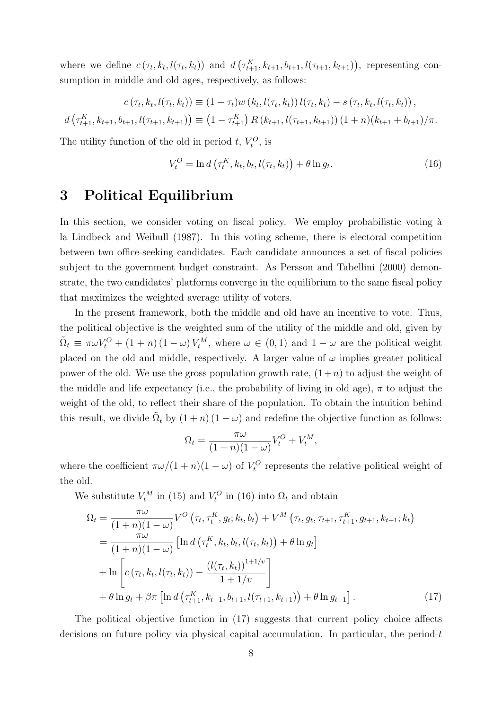where we define  $c(\tau_t, k_t, l(\tau_t, k_t))$  and  $d(\tau_{t+1}^K, k_{t+1}, b_{t+1}, l(\tau_{t+1}, k_{t+1}))$ , representing consumption in middle and old ages, respectively, as follows:

$$
c(\tau_t, k_t, l(\tau_t, k_t)) \equiv (1 - \tau_t) w(k_t, l(\tau_t, k_t)) l(\tau_t, k_t) - s(\tau_t, k_t, l(\tau_t, k_t)),
$$

$$
d\left(\tau_{t+1}^K, k_{t+1}, b_{t+1}, l(\tau_{t+1}, k_{t+1})\right) \equiv \left(1 - \tau_{t+1}^K\right) R\left(k_{t+1}, l(\tau_{t+1}, k_{t+1})\right) \left(1 + n\right) \left(k_{t+1} + b_{t+1}\right) / \pi.
$$

The utility function of the old in period  $t, V_t^O$ , is

$$
V_t^O = \ln d\left(\tau_t^K, k_t, b_t, l(\tau_t, k_t)\right) + \theta \ln g_t.
$$
\n(16)

### 3 Political Equilibrium

In this section, we consider voting on fiscal policy. We employ probabilistic voting à la Lindbeck and Weibull (1987). In this voting scheme, there is electoral competition between two office-seeking candidates. Each candidate announces a set of fiscal policies subject to the government budget constraint. As Persson and Tabellini (2000) demonstrate, the two candidates' platforms converge in the equilibrium to the same fiscal policy that maximizes the weighted average utility of voters.

In the present framework, both the middle and old have an incentive to vote. Thus, the political objective is the weighted sum of the utility of the middle and old, given by  $\tilde{\Omega}_t \equiv \pi \omega V_t^O + (1 + n)(1 - \omega)V_t^M$ , where  $\omega \in (0, 1)$  and  $1 - \omega$  are the political weight placed on the old and middle, respectively. A larger value of  $\omega$  implies greater political power of the old. We use the gross population growth rate,  $(1+n)$  to adjust the weight of the middle and life expectancy (i.e., the probability of living in old age),  $\pi$  to adjust the weight of the old, to reflect their share of the population. To obtain the intuition behind this result, we divide  $\tilde{\Omega}_t$  by  $(1+n)(1-\omega)$  and redefine the objective function as follows:

$$
\Omega_t = \frac{\pi \omega}{(1+n)(1-\omega)} V_t^O + V_t^M,
$$

where the coefficient  $\pi\omega/(1+n)(1-\omega)$  of  $V_t^O$  represents the relative political weight of the old.

We substitute  $V_t^M$  in (15) and  $V_t^O$  in (16) into  $\Omega_t$  and obtain

$$
\Omega_{t} = \frac{\pi \omega}{(1+n)(1-\omega)} V^{O}(\tau_{t}, \tau_{t}^{K}, g_{t}; k_{t}, b_{t}) + V^{M}(\tau_{t}, g_{t}, \tau_{t+1}, \tau_{t+1}^{K}, g_{t+1}, k_{t+1}; k_{t})
$$
\n
$$
= \frac{\pi \omega}{(1+n)(1-\omega)} \left[ \ln d\left(\tau_{t}^{K}, k_{t}, b_{t}, l(\tau_{t}, k_{t})\right) + \theta \ln g_{t} \right]
$$
\n
$$
+ \ln \left[ c\left(\tau_{t}, k_{t}, l(\tau_{t}, k_{t})\right) - \frac{\left(l(\tau_{t}, k_{t})\right)^{1+1/\nu}}{1+1/\nu} \right]
$$
\n
$$
+ \theta \ln g_{t} + \beta \pi \left[ \ln d\left(\tau_{t+1}^{K}, k_{t+1}, b_{t+1}, l(\tau_{t+1}, k_{t+1})\right) + \theta \ln g_{t+1} \right]. \tag{17}
$$

The political objective function in (17) suggests that current policy choice affects decisions on future policy via physical capital accumulation. In particular, the period-t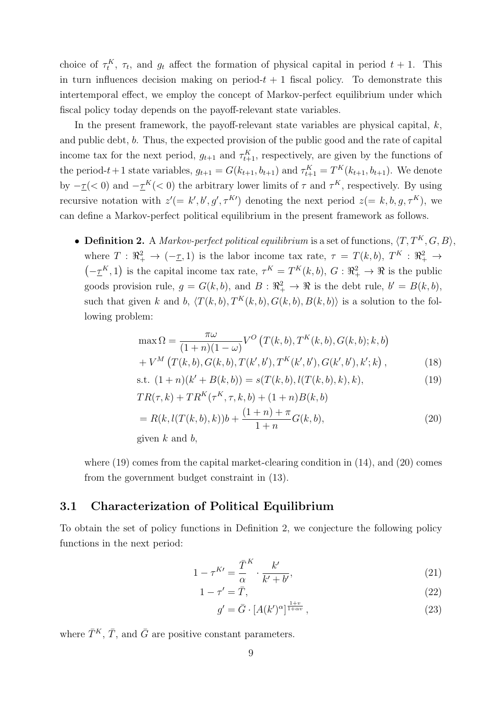choice of  $\tau_t^K$ ,  $\tau_t$ , and  $g_t$  affect the formation of physical capital in period  $t + 1$ . This in turn influences decision making on period- $t + 1$  fiscal policy. To demonstrate this intertemporal effect, we employ the concept of Markov-perfect equilibrium under which fiscal policy today depends on the payoff-relevant state variables.

In the present framework, the payoff-relevant state variables are physical capital,  $k$ , and public debt, b. Thus, the expected provision of the public good and the rate of capital income tax for the next period,  $g_{t+1}$  and  $\tau_{t+1}^K$ , respectively, are given by the functions of the period- $t+1$  state variables,  $g_{t+1} = G(k_{t+1}, b_{t+1})$  and  $\tau_{t+1}^K = T^K(k_{t+1}, b_{t+1})$ . We denote by  $-\underline{\tau}(< 0)$  and  $-\underline{\tau}^K(< 0)$  the arbitrary lower limits of  $\tau$  and  $\tau^K$ , respectively. By using recursive notation with  $z' = k', b', g', \tau^{K}$  denoting the next period  $z = k, b, g, \tau^{K}$ , we can define a Markov-perfect political equilibrium in the present framework as follows.

• **Definition 2.** A *Markov-perfect political equilibrium* is a set of functions,  $\langle T, T^K, G, B \rangle$ , where  $T: \mathbb{R}_+^2 \to (-\underline{\tau}, 1)$  is the labor income tax rate,  $\tau = T(k, b)$ ,  $T^K: \mathbb{R}_+^2 \to$  $(-\underline{\tau}^K, 1)$  is the capital income tax rate,  $\tau^K = T^K(k, b)$ ,  $G: \mathbb{R}^2_+ \to \mathbb{R}$  is the public goods provision rule,  $g = G(k, b)$ , and  $B: \mathbb{R}^2_+ \to \mathbb{R}$  is the debt rule,  $b' = B(k, b)$ , such that given k and b,  $\langle T(k, b), T^K(k, b), G(k, b), B(k, b) \rangle$  is a solution to the following problem:

$$
\max \Omega = \frac{\pi \omega}{(1+n)(1-\omega)} V^O \left( T(k,b), T^K(k,b), G(k,b); k, b \right) + V^M \left( T(k,b), G(k,b), T(k',b'), T^K(k',b'), G(k',b'), k'; k \right),
$$
(18)

s.t. 
$$
(1+n)(k'+B(k,b)) = s(T(k,b), l(T(k,b),k),k),
$$
 (19)

$$
TR(\tau, k) + TR^K(\tau^K, \tau, k, b) + (1 + n)B(k, b)
$$
  
=  $R(k, l(T(k, b), k))b + \frac{(1 + n) + \pi}{1 + n}G(k, b),$  (20)

given  $k$  and  $b$ ,

where  $(19)$  comes from the capital market-clearing condition in  $(14)$ , and  $(20)$  comes from the government budget constraint in (13).

#### 3.1 Characterization of Political Equilibrium

To obtain the set of policy functions in Definition 2, we conjecture the following policy functions in the next period:

$$
1 - \tau^{K\prime} = \frac{\overline{T}}{\alpha}^K \cdot \frac{k'}{k' + b'},\tag{21}
$$

$$
1 - \tau' = \bar{T},\tag{22}
$$

$$
g' = \bar{G} \cdot \left[ A(k')^{\alpha} \right]^{\frac{1+v}{1+\alpha v}},\tag{23}
$$

where  $\bar{T}^K$ ,  $\bar{T}$ , and  $\bar{G}$  are positive constant parameters.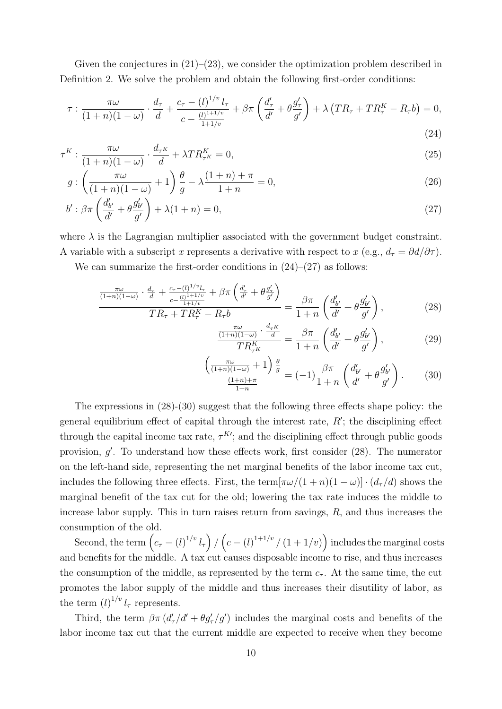Given the conjectures in  $(21)$ – $(23)$ , we consider the optimization problem described in Definition 2. We solve the problem and obtain the following first-order conditions:

$$
\tau : \frac{\pi \omega}{(1+n)(1-\omega)} \cdot \frac{d_{\tau}}{d} + \frac{c_{\tau} - (l)^{1/v} l_{\tau}}{c - \frac{(l)^{1+1/v}}{1+1/v}} + \beta \pi \left(\frac{d'_{\tau}}{d'} + \theta \frac{g'_{\tau}}{g'}\right) + \lambda \left(TR_{\tau} + TR^{K}_{\tau} - R_{\tau}b\right) = 0,
$$
\n(24)

$$
\tau^K : \frac{\pi \omega}{(1+n)(1-\omega)} \cdot \frac{d_{\tau^K}}{d} + \lambda T R_{\tau^K}^K = 0,
$$
\n(25)

$$
g: \left(\frac{\pi\omega}{(1+n)(1-\omega)}+1\right)\frac{\theta}{g}-\lambda\frac{(1+n)+\pi}{1+n}=0,
$$
\n(26)

$$
b': \beta \pi \left(\frac{d'_{b'}}{d'} + \theta \frac{g'_{b'}}{g'}\right) + \lambda (1+n) = 0, \tag{27}
$$

where  $\lambda$  is the Lagrangian multiplier associated with the government budget constraint. A variable with a subscript x represents a derivative with respect to x (e.g.,  $d_{\tau} = \partial d/\partial \tau$ ).

We can summarize the first-order conditions in  $(24)$ – $(27)$  as follows:

$$
\frac{\frac{\pi\omega}{(1+n)(1-\omega)}\cdot\frac{d_{\tau}}{d} + \frac{c_{\tau}-(l)^{1/v}l_{\tau}}{c - \frac{(l)^{1+1/v}}{1+1/v}} + \beta\pi\left(\frac{d'_{\tau}}{d'} + \theta\frac{g'_{\tau}}{g'}\right)}{TR_{\tau} + TR_{\tau}^{K} - R_{\tau}b} = \frac{\beta\pi}{1+n}\left(\frac{d'_{b'}}{d'} + \theta\frac{g'_{b'}}{g'}\right),\tag{28}
$$

$$
\frac{\frac{\pi\omega}{(1+n)(1-\omega)}\cdot\frac{d_{\tau K}}{d}}{TR_{\tau K}^K} = \frac{\beta\pi}{1+n}\left(\frac{d'_{b'}}{d'} + \theta\frac{g'_{b'}}{g'}\right),\tag{29}
$$

$$
\frac{\left(\frac{\pi\omega}{(1+n)(1-\omega)}+1\right)\frac{\theta}{g}}{\frac{(1+n)+\pi}{1+n}} = (-1)\frac{\beta\pi}{1+n}\left(\frac{d'_{b'}}{d'}+\theta\frac{g'_{b'}}{g'}\right). \tag{30}
$$

The expressions in (28)-(30) suggest that the following three effects shape policy: the general equilibrium effect of capital through the interest rate,  $R'$ ; the disciplining effect through the capital income tax rate,  $\tau^{K'}$ ; and the disciplining effect through public goods provision, g'. To understand how these effects work, first consider (28). The numerator on the left-hand side, representing the net marginal benefits of the labor income tax cut, includes the following three effects. First, the term $[\pi\omega/(1+n)(1-\omega)] \cdot (d_{\tau}/d)$  shows the marginal benefit of the tax cut for the old; lowering the tax rate induces the middle to increase labor supply. This in turn raises return from savings, R, and thus increases the consumption of the old.

Second, the term  $\left(c_{\tau} - (l)^{1/v} l_{\tau}\right) / \left(c - (l)^{1+1/v} / (1+1/v)\right)$  includes the marginal costs and benefits for the middle. A tax cut causes disposable income to rise, and thus increases the consumption of the middle, as represented by the term  $c<sub>\tau</sub>$ . At the same time, the cut promotes the labor supply of the middle and thus increases their disutility of labor, as the term  $(l)^{1/v} l_{\tau}$  represents.

Third, the term  $\beta \pi (d'_{\tau}/d' + \theta g'_{\tau}/g')$  includes the marginal costs and benefits of the labor income tax cut that the current middle are expected to receive when they become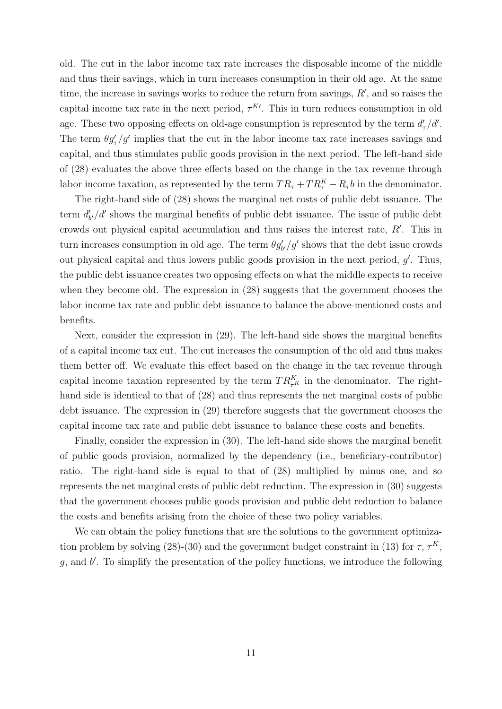old. The cut in the labor income tax rate increases the disposable income of the middle and thus their savings, which in turn increases consumption in their old age. At the same time, the increase in savings works to reduce the return from savings,  $R'$ , and so raises the capital income tax rate in the next period,  $\tau^{K}$ . This in turn reduces consumption in old age. These two opposing effects on old-age consumption is represented by the term  $d'_{\tau}/d'$ . The term  $\theta g'_{\tau}/g'$  implies that the cut in the labor income tax rate increases savings and capital, and thus stimulates public goods provision in the next period. The left-hand side of (28) evaluates the above three effects based on the change in the tax revenue through labor income taxation, as represented by the term  $TR_{\tau} + TR_{\tau}^{K} - R_{\tau}b$  in the denominator.

The right-hand side of (28) shows the marginal net costs of public debt issuance. The term  $d'_{b'}/d'$  shows the marginal benefits of public debt issuance. The issue of public debt crowds out physical capital accumulation and thus raises the interest rate, R′ . This in turn increases consumption in old age. The term  $\theta g'_{b'}/g'$  shows that the debt issue crowds out physical capital and thus lowers public goods provision in the next period,  $g'$ . Thus, the public debt issuance creates two opposing effects on what the middle expects to receive when they become old. The expression in (28) suggests that the government chooses the labor income tax rate and public debt issuance to balance the above-mentioned costs and benefits.

Next, consider the expression in (29). The left-hand side shows the marginal benefits of a capital income tax cut. The cut increases the consumption of the old and thus makes them better off. We evaluate this effect based on the change in the tax revenue through capital income taxation represented by the term  $TR_{\tau^K}^K$  in the denominator. The righthand side is identical to that of (28) and thus represents the net marginal costs of public debt issuance. The expression in (29) therefore suggests that the government chooses the capital income tax rate and public debt issuance to balance these costs and benefits.

Finally, consider the expression in (30). The left-hand side shows the marginal benefit of public goods provision, normalized by the dependency (i.e., beneficiary-contributor) ratio. The right-hand side is equal to that of (28) multiplied by minus one, and so represents the net marginal costs of public debt reduction. The expression in (30) suggests that the government chooses public goods provision and public debt reduction to balance the costs and benefits arising from the choice of these two policy variables.

We can obtain the policy functions that are the solutions to the government optimization problem by solving (28)-(30) and the government budget constraint in (13) for  $\tau$ ,  $\tau$ <sup>K</sup>,  $g$ , and  $b'$ . To simplify the presentation of the policy functions, we introduce the following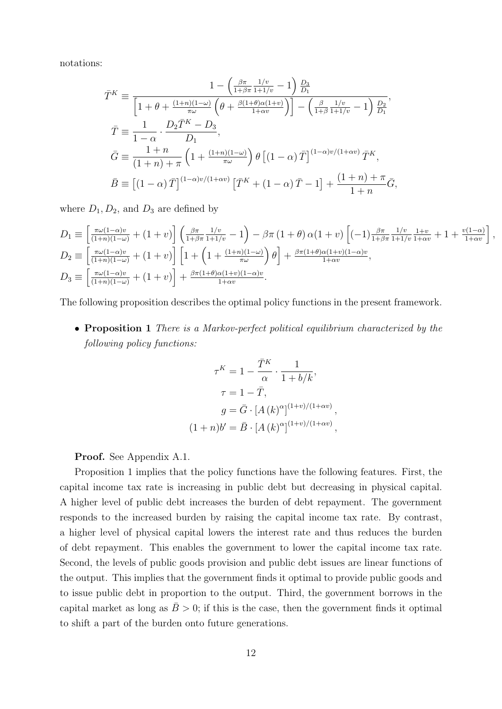notations:

$$
\bar{T}^{K} \equiv \frac{1 - \left(\frac{\beta \pi}{1 + \beta \pi} \frac{1/v}{1 + 1/v} - 1\right) \frac{D_{3}}{D_{1}}}{\left[1 + \theta + \frac{(1 + n)(1 - \omega)}{\pi \omega} \left(\theta + \frac{\beta(1 + \theta)\alpha(1 + v)}{1 + \alpha v}\right)\right] - \left(\frac{\beta}{1 + \beta} \frac{1/v}{1 + 1/v} - 1\right) \frac{D_{2}}{D_{1}}},
$$
\n
$$
\bar{T} \equiv \frac{1}{1 - \alpha} \cdot \frac{D_{2} \bar{T}^{K} - D_{3}}{D_{1}},
$$
\n
$$
\bar{G} \equiv \frac{1 + n}{(1 + n) + \pi} \left(1 + \frac{(1 + n)(1 - \omega)}{\pi \omega}\right) \theta \left[(1 - \alpha) \bar{T}\right]^{(1 - \alpha)v/(1 + \alpha v)} \bar{T}^{K},
$$
\n
$$
\bar{B} \equiv \left[(1 - \alpha) \bar{T}\right]^{(1 - \alpha)v/(1 + \alpha v)} \left[\bar{T}^{K} + (1 - \alpha) \bar{T} - 1\right] + \frac{(1 + n) + \pi}{1 + n} \bar{G},
$$

where  $D_1, D_2$ , and  $D_3$  are defined by

$$
D_1 \equiv \left[\frac{\pi\omega(1-\alpha)v}{(1+n)(1-\omega)} + (1+v)\right] \left(\frac{\beta\pi}{1+\beta\pi} \frac{1/v}{1+1/v} - 1\right) - \beta\pi (1+\theta) \alpha(1+v) \left[(-1)\frac{\beta\pi}{1+\beta\pi} \frac{1/v}{1+1/v} \frac{1+v}{1+\alpha v} + 1 + \frac{v(1-\alpha)}{1+\alpha v}\right]
$$
  
\n
$$
D_2 \equiv \left[\frac{\pi\omega(1-\alpha)v}{(1+n)(1-\omega)} + (1+v)\right] \left[1 + \left(1 + \frac{(1+n)(1-\omega)}{\pi\omega}\right)\theta\right] + \frac{\beta\pi(1+\theta)\alpha(1+v)(1-\alpha)v}{1+\alpha v},
$$
  
\n
$$
D_3 \equiv \left[\frac{\pi\omega(1-\alpha)v}{(1+n)(1-\omega)} + (1+v)\right] + \frac{\beta\pi(1+\theta)\alpha(1+v)(1-\alpha)v}{1+\alpha v}.
$$

,

The following proposition describes the optimal policy functions in the present framework.

• Proposition 1 *There is a Markov-perfect political equilibrium characterized by the following policy functions:*

$$
\tau^K = 1 - \frac{\overline{T}^K}{\alpha} \cdot \frac{1}{1 + b/k},
$$

$$
\tau = 1 - \overline{T},
$$

$$
g = \overline{G} \cdot [A(k)^{\alpha}]^{(1+v)/(1+\alpha v)},
$$

$$
(1+n)b' = \overline{B} \cdot [A(k)^{\alpha}]^{(1+v)/(1+\alpha v)},
$$

Proof. See Appendix A.1.

Proposition 1 implies that the policy functions have the following features. First, the capital income tax rate is increasing in public debt but decreasing in physical capital. A higher level of public debt increases the burden of debt repayment. The government responds to the increased burden by raising the capital income tax rate. By contrast, a higher level of physical capital lowers the interest rate and thus reduces the burden of debt repayment. This enables the government to lower the capital income tax rate. Second, the levels of public goods provision and public debt issues are linear functions of the output. This implies that the government finds it optimal to provide public goods and to issue public debt in proportion to the output. Third, the government borrows in the capital market as long as  $\bar{B} > 0$ ; if this is the case, then the government finds it optimal to shift a part of the burden onto future generations.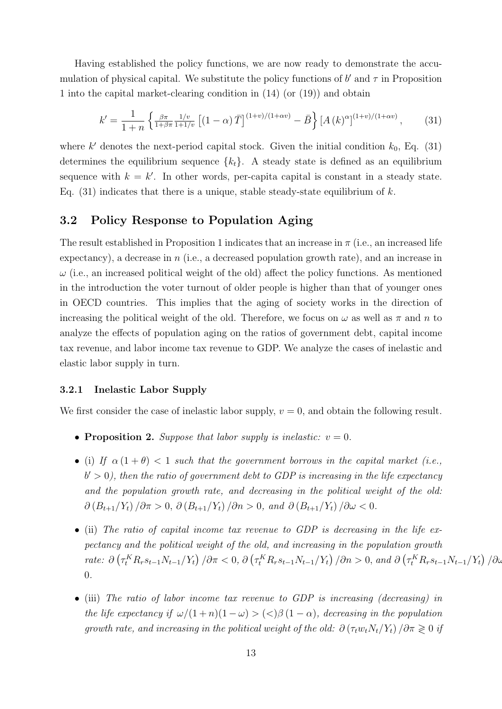Having established the policy functions, we are now ready to demonstrate the accumulation of physical capital. We substitute the policy functions of  $b'$  and  $\tau$  in Proposition 1 into the capital market-clearing condition in (14) (or (19)) and obtain

$$
k' = \frac{1}{1+n} \left\{ \frac{\beta \pi}{1+\beta \pi} \frac{1/v}{1+1/v} \left[ (1-\alpha) \bar{T} \right]^{(1+v)/(1+\alpha v)} - \bar{B} \right\} \left[ A \left( k \right)^{\alpha} \right]^{(1+v)/(1+\alpha v)},\tag{31}
$$

where  $k'$  denotes the next-period capital stock. Given the initial condition  $k_0$ , Eq. (31) determines the equilibrium sequence  ${k_t}$ . A steady state is defined as an equilibrium sequence with  $k = k'$ . In other words, per-capita capital is constant in a steady state. Eq.  $(31)$  indicates that there is a unique, stable steady-state equilibrium of k.

#### 3.2 Policy Response to Population Aging

The result established in Proposition 1 indicates that an increase in  $\pi$  (i.e., an increased life expectancy), a decrease in n (i.e., a decreased population growth rate), and an increase in  $\omega$  (i.e., an increased political weight of the old) affect the policy functions. As mentioned in the introduction the voter turnout of older people is higher than that of younger ones in OECD countries. This implies that the aging of society works in the direction of increasing the political weight of the old. Therefore, we focus on  $\omega$  as well as  $\pi$  and n to analyze the effects of population aging on the ratios of government debt, capital income tax revenue, and labor income tax revenue to GDP. We analyze the cases of inelastic and elastic labor supply in turn.

#### 3.2.1 Inelastic Labor Supply

We first consider the case of inelastic labor supply,  $v = 0$ , and obtain the following result.

- **Proposition 2.** *Suppose that labor supply is inelastic:*  $v = 0$ *.*
- (i) *If*  $\alpha(1+\theta) < 1$  *such that the government borrows in the capital market (i.e.,*  $b' > 0$ ), then the ratio of government debt to GDP is increasing in the life expectancy *and the population growth rate, and decreasing in the political weight of the old:*  $\partial (B_{t+1}/Y_t)/\partial \pi > 0$ ,  $\partial (B_{t+1}/Y_t)/\partial n > 0$ , and  $\partial (B_{t+1}/Y_t)/\partial \omega < 0$ .
- (ii) *The ratio of capital income tax revenue to GDP is decreasing in the life expectancy and the political weight of the old, and increasing in the population growth*  $\mathcal{L}$  rate:  $\partial \left( \tau_t^K R_r s_{t-1} N_{t-1}/Y_t \right) / \partial \pi < 0$ ,  $\partial \left( \tau_t^K R_r s_{t-1} N_{t-1}/Y_t \right) / \partial n > 0$ , and  $\partial \left( \tau_t^K R_r s_{t-1} N_{t-1}/Y_t \right) / \partial \omega$ 0*.*
- (iii) *The ratio of labor income tax revenue to GDP is increasing (decreasing) in the life expectancy if*  $\omega/(1+n)(1-\omega) > \langle \langle \rangle \beta (1-\alpha)$ *, decreasing in the population growth rate, and increasing in the political weight of the old:*  $\partial (\tau_t w_t N_t / Y_t) / \partial \pi \geq 0$  *if*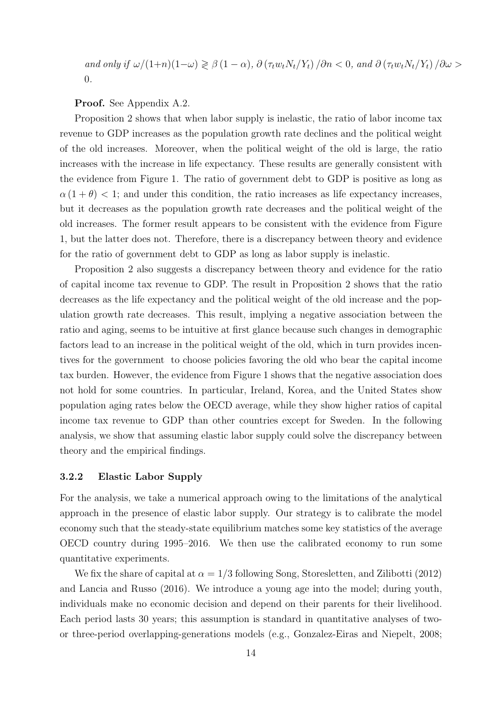*and only if*  $\omega/(1+n)(1-\omega) \ge \beta(1-\alpha)$ ,  $\partial(\tau_t w_t N_t/Y_t) / \partial n < 0$ , and  $\partial(\tau_t w_t N_t/Y_t) / \partial \omega >$ 0*.*

Proof. See Appendix A.2.

Proposition 2 shows that when labor supply is inelastic, the ratio of labor income tax revenue to GDP increases as the population growth rate declines and the political weight of the old increases. Moreover, when the political weight of the old is large, the ratio increases with the increase in life expectancy. These results are generally consistent with the evidence from Figure 1. The ratio of government debt to GDP is positive as long as  $\alpha(1+\theta)$  < 1; and under this condition, the ratio increases as life expectancy increases, but it decreases as the population growth rate decreases and the political weight of the old increases. The former result appears to be consistent with the evidence from Figure 1, but the latter does not. Therefore, there is a discrepancy between theory and evidence for the ratio of government debt to GDP as long as labor supply is inelastic.

Proposition 2 also suggests a discrepancy between theory and evidence for the ratio of capital income tax revenue to GDP. The result in Proposition 2 shows that the ratio decreases as the life expectancy and the political weight of the old increase and the population growth rate decreases. This result, implying a negative association between the ratio and aging, seems to be intuitive at first glance because such changes in demographic factors lead to an increase in the political weight of the old, which in turn provides incentives for the government to choose policies favoring the old who bear the capital income tax burden. However, the evidence from Figure 1 shows that the negative association does not hold for some countries. In particular, Ireland, Korea, and the United States show population aging rates below the OECD average, while they show higher ratios of capital income tax revenue to GDP than other countries except for Sweden. In the following analysis, we show that assuming elastic labor supply could solve the discrepancy between theory and the empirical findings.

#### 3.2.2 Elastic Labor Supply

For the analysis, we take a numerical approach owing to the limitations of the analytical approach in the presence of elastic labor supply. Our strategy is to calibrate the model economy such that the steady-state equilibrium matches some key statistics of the average OECD country during 1995–2016. We then use the calibrated economy to run some quantitative experiments.

We fix the share of capital at  $\alpha = 1/3$  following Song, Storesletten, and Zilibotti (2012) and Lancia and Russo (2016). We introduce a young age into the model; during youth, individuals make no economic decision and depend on their parents for their livelihood. Each period lasts 30 years; this assumption is standard in quantitative analyses of twoor three-period overlapping-generations models (e.g., Gonzalez-Eiras and Niepelt, 2008;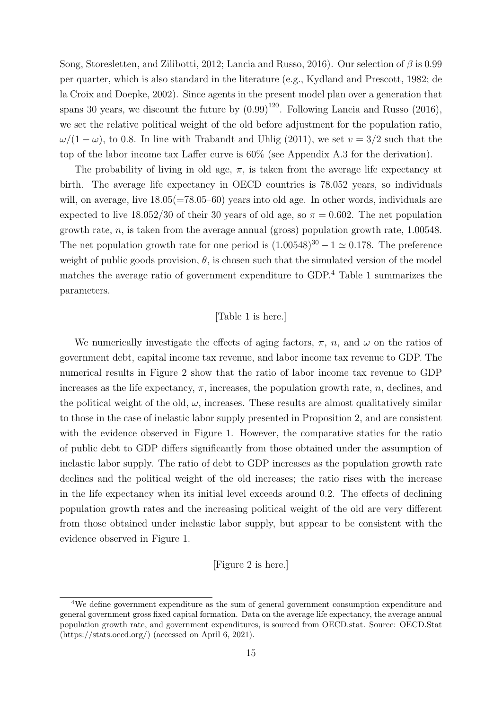Song, Storesletten, and Zilibotti, 2012; Lancia and Russo, 2016). Our selection of  $\beta$  is 0.99 per quarter, which is also standard in the literature (e.g., Kydland and Prescott, 1982; de la Croix and Doepke, 2002). Since agents in the present model plan over a generation that spans 30 years, we discount the future by  $(0.99)^{120}$ . Following Lancia and Russo (2016), we set the relative political weight of the old before adjustment for the population ratio,  $\omega/(1-\omega)$ , to 0.8. In line with Trabandt and Uhlig (2011), we set  $v=3/2$  such that the top of the labor income tax Laffer curve is 60% (see Appendix A.3 for the derivation).

The probability of living in old age,  $\pi$ , is taken from the average life expectancy at birth. The average life expectancy in OECD countries is 78.052 years, so individuals will, on average, live  $18.05(=78.05-60)$  years into old age. In other words, individuals are expected to live  $18.052/30$  of their 30 years of old age, so  $\pi = 0.602$ . The net population growth rate,  $n$ , is taken from the average annual (gross) population growth rate, 1.00548. The net population growth rate for one period is  $(1.00548)^{30} - 1 \simeq 0.178$ . The preference weight of public goods provision,  $\theta$ , is chosen such that the simulated version of the model matches the average ratio of government expenditure to GDP.<sup>4</sup> Table 1 summarizes the parameters.

#### [Table 1 is here.]

We numerically investigate the effects of aging factors,  $\pi$ ,  $n$ , and  $\omega$  on the ratios of government debt, capital income tax revenue, and labor income tax revenue to GDP. The numerical results in Figure 2 show that the ratio of labor income tax revenue to GDP increases as the life expectancy,  $\pi$ , increases, the population growth rate, n, declines, and the political weight of the old,  $\omega$ , increases. These results are almost qualitatively similar to those in the case of inelastic labor supply presented in Proposition 2, and are consistent with the evidence observed in Figure 1. However, the comparative statics for the ratio of public debt to GDP differs significantly from those obtained under the assumption of inelastic labor supply. The ratio of debt to GDP increases as the population growth rate declines and the political weight of the old increases; the ratio rises with the increase in the life expectancy when its initial level exceeds around 0.2. The effects of declining population growth rates and the increasing political weight of the old are very different from those obtained under inelastic labor supply, but appear to be consistent with the evidence observed in Figure 1.

#### [Figure 2 is here.]

<sup>4</sup>We define government expenditure as the sum of general government consumption expenditure and general government gross fixed capital formation. Data on the average life expectancy, the average annual population growth rate, and government expenditures, is sourced from OECD.stat. Source: OECD.Stat (https://stats.oecd.org/) (accessed on April 6, 2021).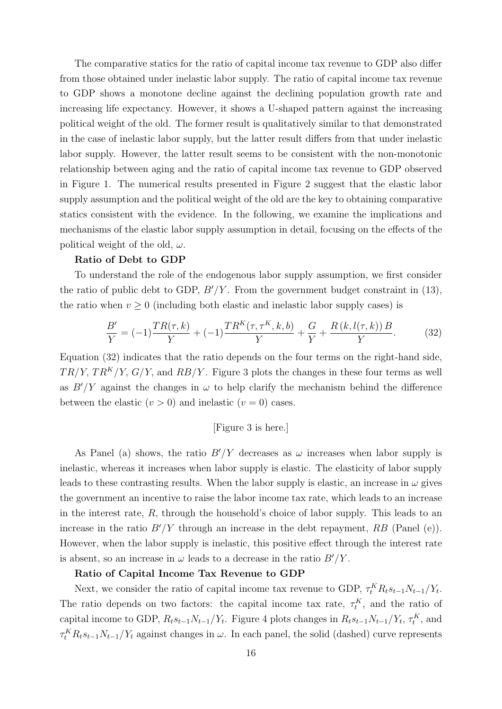The comparative statics for the ratio of capital income tax revenue to GDP also differ from those obtained under inelastic labor supply. The ratio of capital income tax revenue to GDP shows a monotone decline against the declining population growth rate and increasing life expectancy. However, it shows a U-shaped pattern against the increasing political weight of the old. The former result is qualitatively similar to that demonstrated in the case of inelastic labor supply, but the latter result differs from that under inelastic labor supply. However, the latter result seems to be consistent with the non-monotonic relationship between aging and the ratio of capital income tax revenue to GDP observed in Figure 1. The numerical results presented in Figure 2 suggest that the elastic labor supply assumption and the political weight of the old are the key to obtaining comparative statics consistent with the evidence. In the following, we examine the implications and mechanisms of the elastic labor supply assumption in detail, focusing on the effects of the political weight of the old,  $\omega$ .

#### Ratio of Debt to GDP

To understand the role of the endogenous labor supply assumption, we first consider the ratio of public debt to GDP,  $B'/Y$ . From the government budget constraint in (13), the ratio when  $v \geq 0$  (including both elastic and inelastic labor supply cases) is

$$
\frac{B'}{Y} = (-1)\frac{TR(\tau, k)}{Y} + (-1)\frac{TR^K(\tau, \tau^K, k, b)}{Y} + \frac{G}{Y} + \frac{R(k, l(\tau, k))B}{Y}.
$$
 (32)

Equation (32) indicates that the ratio depends on the four terms on the right-hand side,  $TR/Y, TR<sup>K</sup>/Y, G/Y$ , and  $RB/Y$ . Figure 3 plots the changes in these four terms as well as  $B'/Y$  against the changes in  $\omega$  to help clarify the mechanism behind the difference between the elastic  $(v > 0)$  and inelastic  $(v = 0)$  cases.

#### [Figure 3 is here.]

As Panel (a) shows, the ratio  $B'/Y$  decreases as  $\omega$  increases when labor supply is inelastic, whereas it increases when labor supply is elastic. The elasticity of labor supply leads to these contrasting results. When the labor supply is elastic, an increase in  $\omega$  gives the government an incentive to raise the labor income tax rate, which leads to an increase in the interest rate,  $R$ , through the household's choice of labor supply. This leads to an increase in the ratio  $B'/Y$  through an increase in the debt repayment, RB (Panel (e)). However, when the labor supply is inelastic, this positive effect through the interest rate is absent, so an increase in  $\omega$  leads to a decrease in the ratio  $B'/Y$ .

#### Ratio of Capital Income Tax Revenue to GDP

Next, we consider the ratio of capital income tax revenue to GDP,  $\tau_t^K R_t s_{t-1} N_{t-1} / Y_t$ . The ratio depends on two factors: the capital income tax rate,  $\tau_t^K$ , and the ratio of capital income to GDP,  $R_ts_{t-1}N_{t-1}/Y_t$ . Figure 4 plots changes in  $R_ts_{t-1}N_{t-1}/Y_t$ ,  $\tau_t^K$ , and  $\tau_t^K R_t s_{t-1} N_{t-1}/Y_t$  against changes in  $\omega$ . In each panel, the solid (dashed) curve represents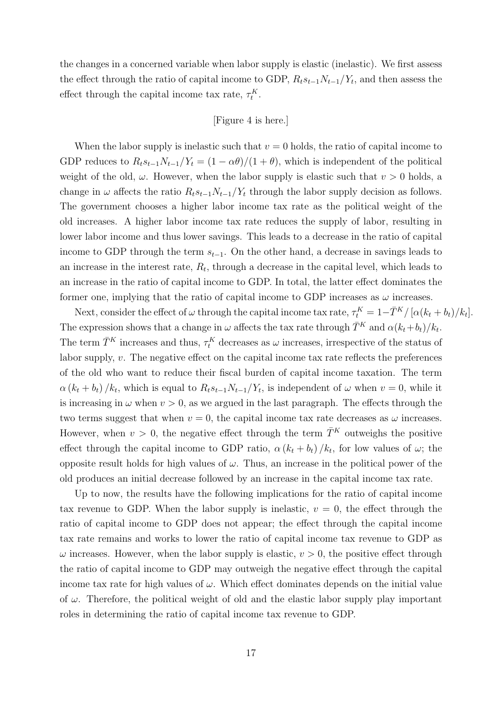the changes in a concerned variable when labor supply is elastic (inelastic). We first assess the effect through the ratio of capital income to GDP,  $R_ts_{t-1}N_{t-1}/Y_t$ , and then assess the effect through the capital income tax rate,  $\tau_t^K$ .

[Figure 4 is here.]

When the labor supply is inelastic such that  $v = 0$  holds, the ratio of capital income to GDP reduces to  $R_t s_{t-1} N_{t-1}/Y_t = (1 - \alpha \theta)/(1 + \theta)$ , which is independent of the political weight of the old,  $\omega$ . However, when the labor supply is elastic such that  $v > 0$  holds, a change in  $\omega$  affects the ratio  $R_t s_{t-1} N_{t-1}/Y_t$  through the labor supply decision as follows. The government chooses a higher labor income tax rate as the political weight of the old increases. A higher labor income tax rate reduces the supply of labor, resulting in lower labor income and thus lower savings. This leads to a decrease in the ratio of capital income to GDP through the term  $s_{t-1}$ . On the other hand, a decrease in savings leads to an increase in the interest rate,  $R_t$ , through a decrease in the capital level, which leads to an increase in the ratio of capital income to GDP. In total, the latter effect dominates the former one, implying that the ratio of capital income to GDP increases as  $\omega$  increases.

Next, consider the effect of  $\omega$  through the capital income tax rate,  $\tau_t^K = 1 - \bar{T}^K / [\alpha(k_t + b_t)/k_t]$ . The expression shows that a change in  $\omega$  affects the tax rate through  $\bar{T}^K$  and  $\alpha(k_t+b_t)/k_t$ . The term  $\bar{T}^K$  increases and thus,  $\tau_t^K$  decreases as  $\omega$  increases, irrespective of the status of labor supply, v. The negative effect on the capital income tax rate reflects the preferences of the old who want to reduce their fiscal burden of capital income taxation. The term  $\alpha (k_t + b_t) / k_t$ , which is equal to  $R_t s_{t-1} N_{t-1} / Y_t$ , is independent of  $\omega$  when  $v = 0$ , while it is increasing in  $\omega$  when  $v > 0$ , as we argued in the last paragraph. The effects through the two terms suggest that when  $v = 0$ , the capital income tax rate decreases as  $\omega$  increases. However, when  $v > 0$ , the negative effect through the term  $\overline{T}^K$  outweighs the positive effect through the capital income to GDP ratio,  $\alpha (k_t + b_t)/k_t$ , for low values of  $\omega$ ; the opposite result holds for high values of  $\omega$ . Thus, an increase in the political power of the old produces an initial decrease followed by an increase in the capital income tax rate.

Up to now, the results have the following implications for the ratio of capital income tax revenue to GDP. When the labor supply is inelastic,  $v = 0$ , the effect through the ratio of capital income to GDP does not appear; the effect through the capital income tax rate remains and works to lower the ratio of capital income tax revenue to GDP as  $\omega$  increases. However, when the labor supply is elastic,  $v > 0$ , the positive effect through the ratio of capital income to GDP may outweigh the negative effect through the capital income tax rate for high values of  $\omega$ . Which effect dominates depends on the initial value of  $\omega$ . Therefore, the political weight of old and the elastic labor supply play important roles in determining the ratio of capital income tax revenue to GDP.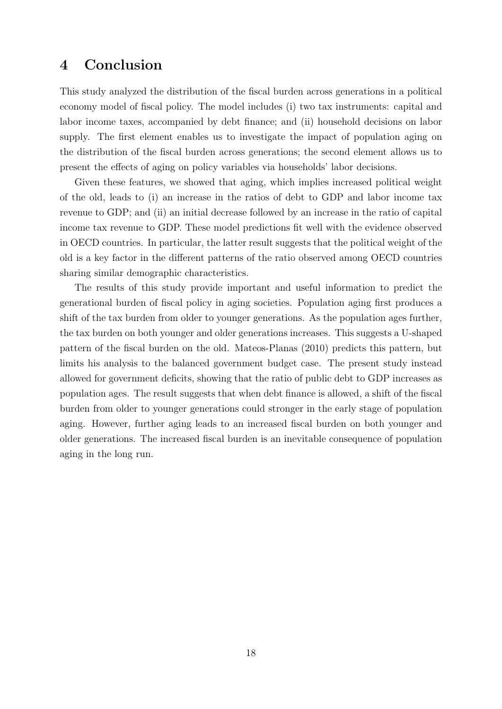### 4 Conclusion

This study analyzed the distribution of the fiscal burden across generations in a political economy model of fiscal policy. The model includes (i) two tax instruments: capital and labor income taxes, accompanied by debt finance; and (ii) household decisions on labor supply. The first element enables us to investigate the impact of population aging on the distribution of the fiscal burden across generations; the second element allows us to present the effects of aging on policy variables via households' labor decisions.

Given these features, we showed that aging, which implies increased political weight of the old, leads to (i) an increase in the ratios of debt to GDP and labor income tax revenue to GDP; and (ii) an initial decrease followed by an increase in the ratio of capital income tax revenue to GDP. These model predictions fit well with the evidence observed in OECD countries. In particular, the latter result suggests that the political weight of the old is a key factor in the different patterns of the ratio observed among OECD countries sharing similar demographic characteristics.

The results of this study provide important and useful information to predict the generational burden of fiscal policy in aging societies. Population aging first produces a shift of the tax burden from older to younger generations. As the population ages further, the tax burden on both younger and older generations increases. This suggests a U-shaped pattern of the fiscal burden on the old. Mateos-Planas (2010) predicts this pattern, but limits his analysis to the balanced government budget case. The present study instead allowed for government deficits, showing that the ratio of public debt to GDP increases as population ages. The result suggests that when debt finance is allowed, a shift of the fiscal burden from older to younger generations could stronger in the early stage of population aging. However, further aging leads to an increased fiscal burden on both younger and older generations. The increased fiscal burden is an inevitable consequence of population aging in the long run.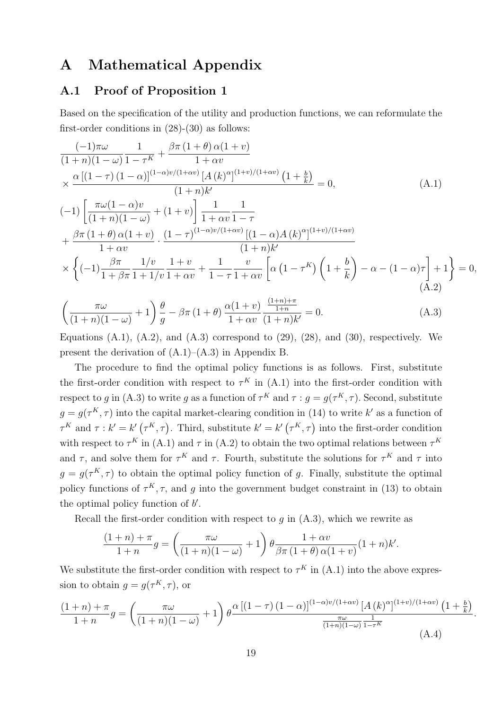### A Mathematical Appendix

### A.1 Proof of Proposition 1

Based on the specification of the utility and production functions, we can reformulate the first-order conditions in (28)-(30) as follows:

$$
\frac{(-1)\pi\omega}{(1+n)(1-\omega)}\frac{1}{1-\tau^{K}} + \frac{\beta\pi (1+\theta)\alpha(1+\nu)}{1+\alpha\nu}\times \frac{\alpha [(1-\tau)(1-\alpha)]^{(1-\alpha)\nu/(1+\alpha\nu)}[A(k)^{\alpha}]^{(1+\nu)/(1+\alpha\nu)}(1+\frac{b}{k})}{(1+n)k'} = 0,
$$
\n(A.1)  
\n
$$
(-1)\left[\frac{\pi\omega(1-\alpha)v}{(1+n)(1-\omega)} + (1+v)\right]\frac{1}{1+\alpha v}\frac{1}{1-\tau}
$$
\n
$$
+\frac{\beta\pi (1+\theta)\alpha(1+v)}{1+\alpha\nu} \cdot \frac{(1-\tau)^{(1-\alpha)\nu/(1+\alpha\nu)}[(1-\alpha)A(k)^{\alpha}]^{(1+\nu)/(1+\alpha\nu)}}{(1+n)k'}
$$
\n
$$
\times \left\{(-1)\frac{\beta\pi}{1+\beta\pi}\frac{1/v}{1+1/v}\frac{1+v}{1+\alpha v} + \frac{1}{1-\tau}\frac{v}{1+\alpha v}\left[\alpha (1-\tau^{K})\left(1+\frac{b}{k}\right) - \alpha - (1-\alpha)\tau\right] + 1\right\} = 0,
$$
\n(A.2)

$$
\left(\frac{\pi\omega}{(1+n)(1-\omega)}+1\right)\frac{\theta}{g}-\beta\pi\left(1+\theta\right)\frac{\alpha(1+v)}{1+\alpha v}\frac{\frac{(1+n)+\pi}{1+n}}{(1+n)k'}=0.\tag{A.3}
$$

Equations  $(A.1)$ ,  $(A.2)$ , and  $(A.3)$  correspond to  $(29)$ ,  $(28)$ , and  $(30)$ , respectively. We present the derivation of  $(A.1)$ – $(A.3)$  in Appendix B.

The procedure to find the optimal policy functions is as follows. First, substitute the first-order condition with respect to  $\tau^K$  in (A.1) into the first-order condition with respect to g in (A.3) to write g as a function of  $\tau^K$  and  $\tau : g = g(\tau^K, \tau)$ . Second, substitute  $g = g(\tau^K, \tau)$  into the capital market-clearing condition in (14) to write k' as a function of  $\tau^K$  and  $\tau : k' = k'(\tau^K, \tau)$ . Third, substitute  $k' = k'(\tau^K, \tau)$  into the first-order condition with respect to  $\tau^K$  in (A.1) and  $\tau$  in (A.2) to obtain the two optimal relations between  $\tau^K$ and  $\tau$ , and solve them for  $\tau^K$  and  $\tau$ . Fourth, substitute the solutions for  $\tau^K$  and  $\tau$  into  $g = g(\tau^K, \tau)$  to obtain the optimal policy function of g. Finally, substitute the optimal policy functions of  $\tau^K$ ,  $\tau$ , and g into the government budget constraint in (13) to obtain the optimal policy function of  $b'$ .

Recall the first-order condition with respect to  $g$  in  $(A.3)$ , which we rewrite as

$$
\frac{(1+n)+\pi}{1+n}g = \left(\frac{\pi\omega}{(1+n)(1-\omega)}+1\right)\theta\frac{1+\alpha v}{\beta\pi(1+\theta)\alpha(1+v)}(1+n)k'.
$$

We substitute the first-order condition with respect to  $\tau^K$  in (A.1) into the above expression to obtain  $g = g(\tau^K, \tau)$ , or

$$
\frac{(1+n)+\pi}{1+n}g = \left(\frac{\pi\omega}{(1+n)(1-\omega)}+1\right)\theta \frac{\alpha\left[(1-\tau)(1-\alpha)\right]^{(1-\alpha)v/(1+\alpha v)}\left[A(k)^{\alpha}\right]^{(1+v)/(1+\alpha v)}\left(1+\frac{b}{k}\right)}{\frac{\pi\omega}{(1+n)(1-\omega)}\frac{1}{1-\tau^K}}.
$$
\n(A.4)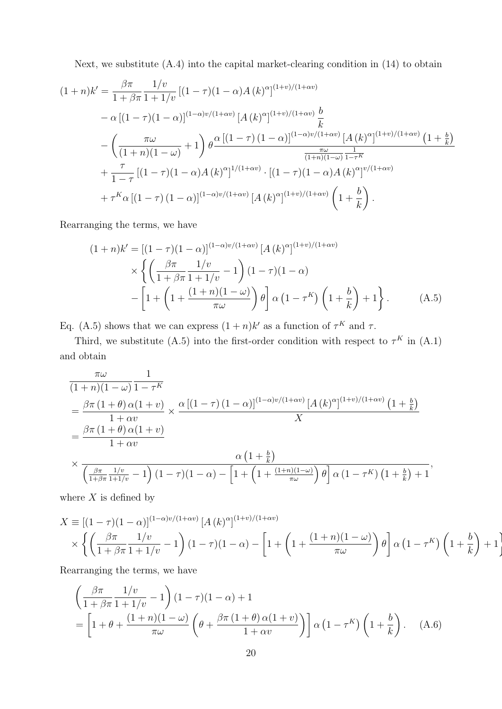Next, we substitute (A.4) into the capital market-clearing condition in (14) to obtain

$$
(1+n)k' = \frac{\beta \pi}{1+\beta \pi} \frac{1/v}{1+1/v} \left[ (1-\tau)(1-\alpha)A(k)^{\alpha} \right]^{(1+v)/(1+\alpha v)}
$$
  
 
$$
- \alpha \left[ (1-\tau)(1-\alpha) \right]^{(1-\alpha)v/(1+\alpha v)} \left[ A(k)^{\alpha} \right]^{(1+v)/(1+\alpha v)} \frac{b}{k}
$$
  
 
$$
- \left( \frac{\pi \omega}{(1+n)(1-\omega)} + 1 \right) \theta \frac{\alpha \left[ (1-\tau)(1-\alpha) \right]^{(1-\alpha)v/(1+\alpha v)} \left[ A(k)^{\alpha} \right]^{(1+v)/(1+\alpha v)} \left( 1+\frac{b}{k} \right)}{\frac{\pi \omega}{(1+n)(1-\omega)} \frac{1}{1-\tau^K}}
$$
  
 
$$
+ \frac{\tau}{1-\tau} \left[ (1-\tau)(1-\alpha)A(k)^{\alpha} \right]^{1/(1+\alpha v)} \cdot \left[ (1-\tau)(1-\alpha)A(k)^{\alpha} \right]^{v/(1+\alpha v)}
$$
  
 
$$
+ \tau^K \alpha \left[ (1-\tau)(1-\alpha) \right]^{(1-\alpha)v/(1+\alpha v)} \left[ A(k)^{\alpha} \right]^{(1+v)/(1+\alpha v)} \left( 1+\frac{b}{k} \right).
$$

Rearranging the terms, we have

$$
(1+n)k' = \left[(1-\tau)(1-\alpha)\right]^{(1-\alpha)v/(1+\alpha v)} \left[A(k)^{\alpha}\right]^{(1+v)/(1+\alpha v)}
$$

$$
\times \left\{ \left(\frac{\beta \pi}{1+\beta \pi} \frac{1/v}{1+1/v} - 1\right) (1-\tau)(1-\alpha) - \left[1 + \left(1 + \frac{(1+n)(1-\omega)}{\pi \omega}\right) \theta\right] \alpha \left(1 - \tau^K\right) \left(1 + \frac{b}{k}\right) + 1 \right\}.
$$
(A.5)

Eq. (A.5) shows that we can express  $(1+n)k'$  as a function of  $\tau^K$  and  $\tau$ .

Third, we substitute (A.5) into the first-order condition with respect to  $\tau^K$  in (A.1) and obtain

$$
\frac{\pi\omega}{(1+n)(1-\omega)}\frac{1}{1-\tau^{K}}
$$
\n
$$
=\frac{\beta\pi(1+\theta)\alpha(1+\nu)}{1+\alpha\nu}\times\frac{\alpha[(1-\tau)(1-\alpha)]^{(1-\alpha)\nu/(1+\alpha\nu)}[A(k)^{\alpha}]^{(1+\nu)/(1+\alpha\nu)}(1+\frac{b}{k})}{X}
$$
\n
$$
\times\frac{\alpha(1+\frac{b}{k})}{\left(\frac{\beta\pi}{1+\beta\pi}\frac{1/\nu}{1+1/\nu}-1\right)(1-\tau)(1-\alpha)-\left[1+\left(1+\frac{(1+n)(1-\omega)}{\pi\omega}\right)\theta\right]\alpha(1-\tau^{K})\left(1+\frac{b}{k}\right)+1},
$$

where  $X$  is defined by

$$
X \equiv \left[ (1-\tau)(1-\alpha) \right]^{(1-\alpha)v/(1+\alpha v)} \left[ A(k)^{\alpha} \right]^{(1+v)/(1+\alpha v)}
$$

$$
\times \left\{ \left( \frac{\beta \pi}{1+\beta \pi} \frac{1/v}{1+1/v} - 1 \right) (1-\tau)(1-\alpha) - \left[ 1 + \left( 1 + \frac{(1+n)(1-\omega)}{\pi \omega} \right) \theta \right] \alpha \left( 1 - \tau^{K} \right) \left( 1 + \frac{b}{k} \right) + 1 \right\}
$$

Rearranging the terms, we have

$$
\left(\frac{\beta\pi}{1+\beta\pi}\frac{1/v}{1+1/v}-1\right)(1-\tau)(1-\alpha)+1
$$
\n
$$
=\left[1+\theta+\frac{(1+n)(1-\omega)}{\pi\omega}\left(\theta+\frac{\beta\pi(1+\theta)\alpha(1+v)}{1+\alpha v}\right)\right]\alpha\left(1-\tau^K\right)\left(1+\frac{b}{k}\right). \quad (A.6)
$$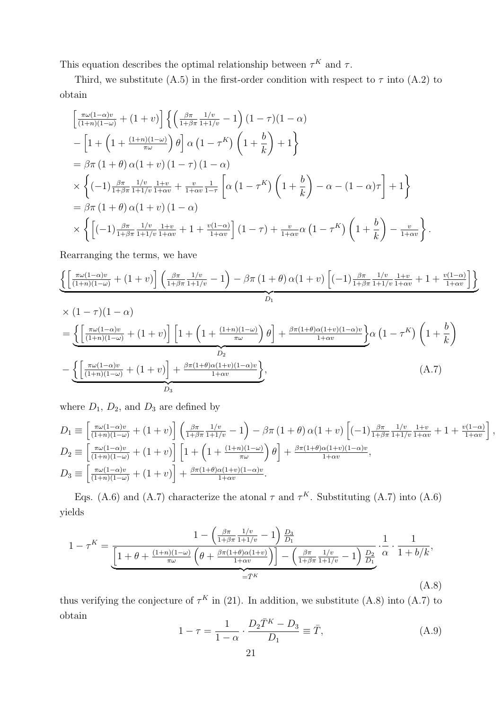This equation describes the optimal relationship between  $\tau^K$  and  $\tau$ .

Third, we substitute (A.5) in the first-order condition with respect to  $\tau$  into (A.2) to obtain

$$
\begin{split}\n&\left[\frac{\pi\omega(1-\alpha)v}{(1+n)(1-\omega)}+(1+v)\right]\left\{\left(\frac{\beta\pi}{1+\beta\pi}\frac{1/v}{1+1/v}-1\right)(1-\gamma)(1-\alpha)\\&-\left[1+\left(1+\frac{(1+n)(1-\omega)}{\pi\omega}\right)\theta\right]\alpha\left(1-\tau^K\right)\left(1+\frac{b}{k}\right)+1\right\}\\
&=\beta\pi\left(1+\theta\right)\alpha(1+v)\left(1-\gamma\right)(1-\alpha)\\
&\times\left\{(-1)\frac{\beta\pi}{1+\beta\pi}\frac{1/v}{1+1/v}\frac{1+v}{1+\alpha v}+\frac{v}{1+\alpha v}\frac{1}{1-\tau}\left[\alpha\left(1-\tau^K\right)\left(1+\frac{b}{k}\right)-\alpha-(1-\alpha)\tau\right]+1\right\}\\
&=\beta\pi\left(1+\theta\right)\alpha(1+v)\left(1-\alpha\right)\\
&\times\left\{\left[(-1)\frac{\beta\pi}{1+\beta\pi}\frac{1/v}{1+1/v}\frac{1+v}{1+\alpha v}+1+\frac{v(1-\alpha)}{1+\alpha v}\right](1-\tau)+\frac{v}{1+\alpha v}\alpha\left(1-\tau^K\right)\left(1+\frac{b}{k}\right)-\frac{v}{1+\alpha v}\right\}.\n\end{split}
$$

Rearranging the terms, we have

$$
\left\{\left[\frac{\pi\omega(1-\alpha)v}{(1+n)(1-\omega)}+(1+v)\right]\left(\frac{\beta\pi}{1+\beta\pi}\frac{1/v}{1+1/v}-1\right)-\beta\pi\left(1+\theta\right)\alpha(1+v)\left[(-1)\frac{\beta\pi}{1+\beta\pi}\frac{1/v}{1+1/v}\frac{1+v}{1+\alpha v}+1+\frac{v(1-\alpha)}{1+\alpha v}\right]\right\}
$$

$$
\times (1 - \tau)(1 - \alpha)
$$
\n
$$
= \underbrace{\left\{ \left[ \frac{\pi \omega (1 - \alpha)v}{(1 + n)(1 - \omega)} + (1 + v) \right] \left[ 1 + \left( 1 + \frac{(1 + n)(1 - \omega)}{\pi \omega} \right) \theta \right] + \frac{\beta \pi (1 + \theta) \alpha (1 + v)(1 - \alpha)v}{1 + \alpha v} \right\}}_{D_2} \alpha (1 - \tau^K) \left( 1 + \frac{b}{k} \right)
$$
\n
$$
- \underbrace{\left\{ \left[ \frac{\pi \omega (1 - \alpha)v}{(1 + n)(1 - \omega)} + (1 + v) \right] + \frac{\beta \pi (1 + \theta) \alpha (1 + v)(1 - \alpha)v}{1 + \alpha v} \right\}}_{D_3}, \tag{A.7}
$$

where  $D_1$ ,  $D_2$ , and  $D_3$  are defined by

$$
D_1 \equiv \left[\frac{\pi\omega(1-\alpha)v}{(1+n)(1-\omega)} + (1+v)\right] \left(\frac{\beta\pi}{1+\beta\pi} \frac{1/v}{1+1/v} - 1\right) - \beta\pi (1+\theta)\alpha(1+v) \left[(-1)\frac{\beta\pi}{1+\beta\pi} \frac{1/v}{1+1/v} \frac{1+v}{1+\alpha v} + 1 + \frac{v(1-\alpha)}{1+\alpha v}\right],
$$
  
\n
$$
D_2 \equiv \left[\frac{\pi\omega(1-\alpha)v}{(1+n)(1-\omega)} + (1+v)\right] \left[1 + \left(1 + \frac{(1+n)(1-\omega)}{\pi\omega}\right)\theta\right] + \frac{\beta\pi(1+\theta)\alpha(1+v)(1-\alpha)v}{1+\alpha v},
$$
  
\n
$$
D_3 \equiv \left[\frac{\pi\omega(1-\alpha)v}{(1+n)(1-\omega)} + (1+v)\right] + \frac{\beta\pi(1+\theta)\alpha(1+v)(1-\alpha)v}{1+\alpha v}.
$$

Eqs. (A.6) and (A.7) characterize the atonal  $\tau$  and  $\tau^K$ . Substituting (A.7) into (A.6) yields

$$
1 - \tau^{K} = \underbrace{\frac{1 - \left(\frac{\beta \pi}{1 + \beta \pi} \frac{1/v}{1 + 1/v} - 1\right) \frac{D_{3}}{D_{1}}}{\left[1 + \theta + \frac{(1 + n)(1 - \omega)}{\pi \omega} \left(\theta + \frac{\beta \pi (1 + \theta)\alpha(1 + v)}{1 + \alpha v}\right)\right] - \left(\frac{\beta \pi}{1 + \beta \pi} \frac{1/v}{1 + 1/v} - 1\right) \frac{D_{2}}{D_{1}}}_{= \bar{T}^{K}} \cdot \frac{1}{1 + b/k},\tag{A.8}
$$

thus verifying the conjecture of  $\tau^K$  in (21). In addition, we substitute (A.8) into (A.7) to obtain

$$
1 - \tau = \frac{1}{1 - \alpha} \cdot \frac{D_2 \bar{T}^K - D_3}{D_1} \equiv \bar{T}, \tag{A.9}
$$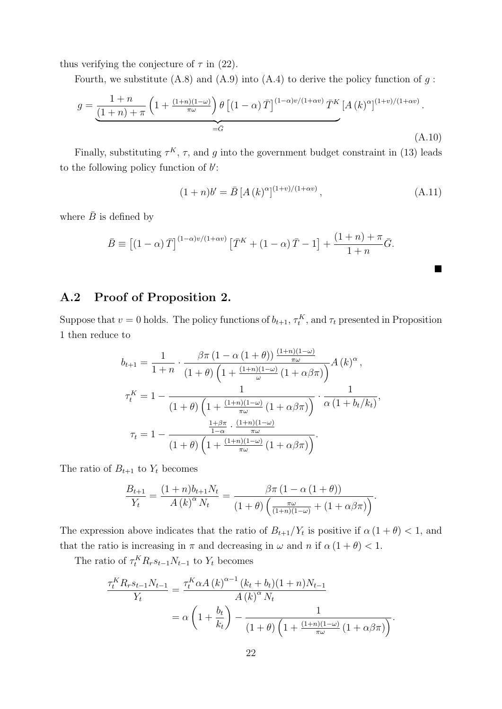thus verifying the conjecture of  $\tau$  in (22).

Fourth, we substitute  $(A.8)$  and  $(A.9)$  into  $(A.4)$  to derive the policy function of q:

$$
g = \underbrace{\frac{1+n}{(1+n)+\pi} \left(1 + \frac{(1+n)(1-\omega)}{\pi\omega}\right) \theta \left[(1-\alpha)\bar{T}\right]^{(1-\alpha)v/(1+\alpha v)} \bar{T}^K \left[A(k)^{\alpha}\right]^{(1+v)/(1+\alpha v)}}_{=\bar{G}}.
$$
\n(A.10)

Finally, substituting  $\tau^K$ ,  $\tau$ , and g into the government budget constraint in (13) leads to the following policy function of  $b'$ :

$$
(1+n)b' = \bar{B} [A (k)^{\alpha}]^{(1+v)/(1+\alpha v)}, \qquad (A.11)
$$

where  $\bar{B}$  is defined by

$$
\bar{B} \equiv \left[ (1-\alpha)\,\bar{T} \right]^{(1-\alpha)v/(1+\alpha v)} \left[ \bar{T}^K + (1-\alpha)\,\bar{T} - 1 \right] + \frac{(1+n)+\pi}{1+n}\bar{G}.
$$

### A.2 Proof of Proposition 2.

Suppose that  $v = 0$  holds. The policy functions of  $b_{t+1}, \tau_t^K$ , and  $\tau_t$  presented in Proposition 1 then reduce to

$$
b_{t+1} = \frac{1}{1+n} \cdot \frac{\beta \pi (1-\alpha (1+\theta)) \frac{(1+n)(1-\omega)}{\pi \omega}}{(1+\theta) \left(1+\frac{(1+n)(1-\omega)}{\omega} (1+\alpha \beta \pi)\right)} A(k)^{\alpha},
$$
  

$$
\tau_t^K = 1 - \frac{1}{(1+\theta) \left(1+\frac{(1+n)(1-\omega)}{\pi \omega} (1+\alpha \beta \pi)\right)} \cdot \frac{1}{\alpha (1+b_t/k_t)},
$$
  

$$
\tau_t = 1 - \frac{\frac{1+\beta \pi}{1-\alpha} \cdot \frac{(1+n)(1-\omega)}{\pi \omega}}{(1+\theta) \left(1+\frac{(1+n)(1-\omega)}{\pi \omega} (1+\alpha \beta \pi)\right)}.
$$

The ratio of  $B_{t+1}$  to  $Y_t$  becomes

$$
\frac{B_{t+1}}{Y_t} = \frac{(1+n)b_{t+1}N_t}{A(k)^{\alpha}N_t} = \frac{\beta \pi (1 - \alpha (1 + \theta))}{(1 + \theta)\left(\frac{\pi \omega}{(1+n)(1-\omega)} + (1 + \alpha \beta \pi)\right)}.
$$

The expression above indicates that the ratio of  $B_{t+1}/Y_t$  is positive if  $\alpha(1+\theta) < 1$ , and that the ratio is increasing in  $\pi$  and decreasing in  $\omega$  and  $n$  if  $\alpha(1 + \theta) < 1$ .

The ratio of  $\tau_t^K R_r s_{t-1} N_{t-1}$  to  $Y_t$  becomes

$$
\frac{\tau_t^K R_r s_{t-1} N_{t-1}}{Y_t} = \frac{\tau_t^K \alpha A (k)^{\alpha - 1} (k_t + b_t)(1 + n) N_{t-1}}{A (k)^\alpha N_t}
$$

$$
= \alpha \left( 1 + \frac{b_t}{k_t} \right) - \frac{1}{(1 + \theta) \left( 1 + \frac{(1 + n)(1 - \omega)}{\pi \omega} (1 + \alpha \beta \pi) \right)}.
$$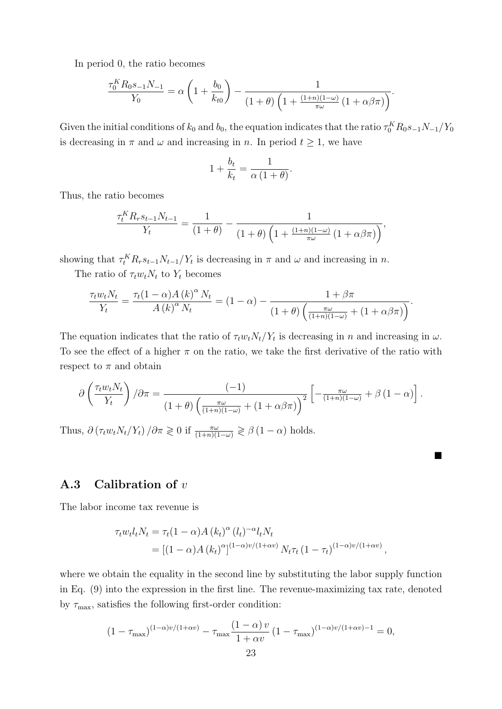In period 0, the ratio becomes

$$
\frac{\tau_0^K R_0 s_{-1} N_{-1}}{Y_0} = \alpha \left( 1 + \frac{b_0}{k_{t0}} \right) - \frac{1}{(1 + \theta) \left( 1 + \frac{(1 + n)(1 - \omega)}{\pi \omega} \left( 1 + \alpha \beta \pi \right) \right)}.
$$

Given the initial conditions of  $k_0$  and  $b_0$ , the equation indicates that the ratio  $\tau_0^K R_0 s_{-1} N_{-1}/Y_0$ is decreasing in  $\pi$  and  $\omega$  and increasing in n. In period  $t \geq 1$ , we have

$$
1 + \frac{b_t}{k_t} = \frac{1}{\alpha (1 + \theta)}.
$$

Thus, the ratio becomes

$$
\frac{\tau_t^K R_r s_{t-1} N_{t-1}}{Y_t} = \frac{1}{(1+\theta)} - \frac{1}{(1+\theta)\left(1 + \frac{(1+n)(1-\omega)}{\pi\omega}\left(1 + \alpha\beta\pi\right)\right)},
$$

showing that  $\tau_t^K R_r s_{t-1} N_{t-1}/Y_t$  is decreasing in  $\pi$  and  $\omega$  and increasing in  $n$ .

The ratio of  $\tau_t w_t N_t$  to  $Y_t$  becomes

$$
\frac{\tau_t w_t N_t}{Y_t} = \frac{\tau_t (1 - \alpha) A (k)^\alpha N_t}{A (k)^\alpha N_t} = (1 - \alpha) - \frac{1 + \beta \pi}{(1 + \theta) \left(\frac{\pi \omega}{(1 + n)(1 - \omega)} + (1 + \alpha \beta \pi)\right)}.
$$

The equation indicates that the ratio of  $\tau_t w_t N_t / Y_t$  is decreasing in n and increasing in  $\omega$ . To see the effect of a higher  $\pi$  on the ratio, we take the first derivative of the ratio with respect to  $\pi$  and obtain

$$
\partial \left( \frac{\tau_t w_t N_t}{Y_t} \right) / \partial \pi = \frac{(-1)}{(1+\theta) \left( \frac{\pi \omega}{(1+n)(1-\omega)} + (1+\alpha \beta \pi) \right)^2} \left[ -\frac{\pi \omega}{(1+n)(1-\omega)} + \beta (1-\alpha) \right].
$$

■

Thus,  $\partial (\tau_t w_t N_t / Y_t) / \partial \pi \geq 0$  if  $\frac{\pi \omega}{(1+n)(1-\omega)} \geq \beta (1-\alpha)$  holds.

#### A.3 Calibration of v

The labor income tax revenue is

$$
\tau_t w_t l_t N_t = \tau_t (1 - \alpha) A (k_t)^{\alpha} (l_t)^{-\alpha} l_t N_t
$$
  
= 
$$
[(1 - \alpha) A (k_t)^{\alpha}]^{(1 - \alpha)v/(1 + \alpha v)} N_t \tau_t (1 - \tau_t)^{(1 - \alpha)v/(1 + \alpha v)},
$$

where we obtain the equality in the second line by substituting the labor supply function in Eq. (9) into the expression in the first line. The revenue-maximizing tax rate, denoted by  $\tau_{\text{max}}$ , satisfies the following first-order condition:

$$
(1 - \tau_{\max})^{(1-\alpha)v/(1+\alpha v)} - \tau_{\max} \frac{(1-\alpha)v}{1+\alpha v} (1 - \tau_{\max})^{(1-\alpha)v/(1+\alpha v)-1} = 0,
$$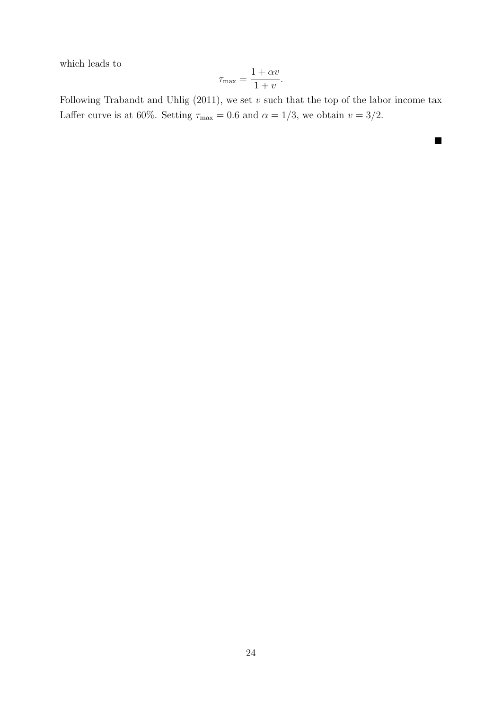which leads to

$$
\tau_{\max} = \frac{1 + \alpha v}{1 + v}.
$$

Following Trabandt and Uhlig  $(2011)$ , we set v such that the top of the labor income tax Laffer curve is at 60%. Setting  $\tau_{\text{max}} = 0.6$  and  $\alpha = 1/3$ , we obtain  $v = 3/2$ .

■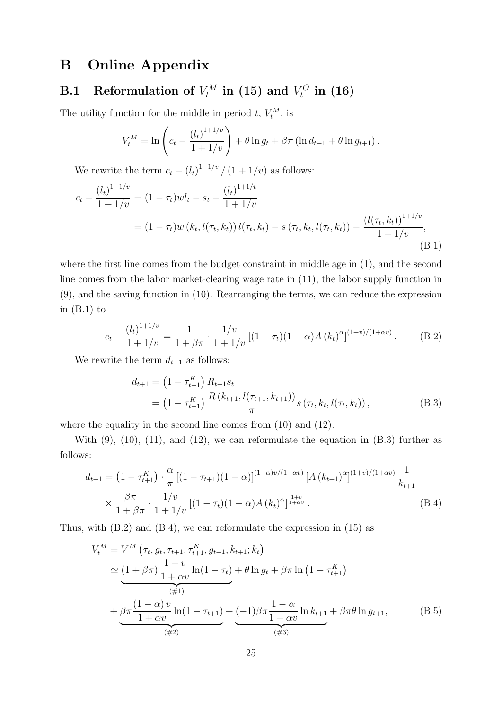## B Online Appendix

#### **B.1** Reformulation of  $V_t^M$  $V_t^M$  in (15) and  $V_t^O$  $_{t}^{\prime O}$  in  $(16)$

The utility function for the middle in period  $t, V_t^M$ , is

$$
V_t^M = \ln\left(c_t - \frac{(l_t)^{1+1/v}}{1+1/v}\right) + \theta \ln g_t + \beta \pi \left(\ln d_{t+1} + \theta \ln g_{t+1}\right).
$$

We rewrite the term  $c_t - (l_t)^{1+1/v} / (1 + 1/v)$  as follows:

$$
c_t - \frac{(l_t)^{1+1/v}}{1+1/v} = (1 - \tau_t)wl_t - s_t - \frac{(l_t)^{1+1/v}}{1+1/v}
$$
  
=  $(1 - \tau_t)w(k_t, l(\tau_t, k_t))l(\tau_t, k_t) - s(\tau_t, k_t, l(\tau_t, k_t)) - \frac{(l(\tau_t, k_t))^{1+1/v}}{1+1/v},$   
(B.1)

where the first line comes from the budget constraint in middle age in (1), and the second line comes from the labor market-clearing wage rate in (11), the labor supply function in (9), and the saving function in (10). Rearranging the terms, we can reduce the expression in  $(B.1)$  to

$$
c_t - \frac{(l_t)^{1+1/v}}{1+1/v} = \frac{1}{1+\beta\pi} \cdot \frac{1/v}{1+1/v} \left[ (1-\tau_t)(1-\alpha)A(k_t)^{\alpha} \right]^{(1+v)/(1+\alpha v)}.
$$
 (B.2)

We rewrite the term  $d_{t+1}$  as follows:

$$
d_{t+1} = (1 - \tau_{t+1}^{K}) R_{t+1} s_{t}
$$
  
=  $(1 - \tau_{t+1}^{K}) \frac{R(k_{t+1}, l(\tau_{t+1}, k_{t+1}))}{\pi} s(\tau_{t}, k_{t}, l(\tau_{t}, k_{t})),$  (B.3)

where the equality in the second line comes from  $(10)$  and  $(12)$ .

With  $(9)$ ,  $(10)$ ,  $(11)$ , and  $(12)$ , we can reformulate the equation in  $(B.3)$  further as follows:

$$
d_{t+1} = \left(1 - \tau_{t+1}^{K}\right) \cdot \frac{\alpha}{\pi} \left[(1 - \tau_{t+1})(1 - \alpha)\right]^{(1 - \alpha)v/(1 + \alpha v)} \left[A\left(k_{t+1}\right)^{\alpha}\right]^{(1 + v)/(1 + \alpha v)} \frac{1}{k_{t+1}} \times \frac{\beta \pi}{1 + \beta \pi} \cdot \frac{1/v}{1 + 1/v} \left[(1 - \tau_{t})(1 - \alpha)A\left(k_{t}\right)^{\alpha}\right]^{\frac{1+v}{1 + \alpha v}}.
$$
\n(B.4)

Thus, with (B.2) and (B.4), we can reformulate the expression in (15) as

$$
V_t^M = V^M \left( \tau_t, g_t, \tau_{t+1}, \tau_{t+1}^K, g_{t+1}, k_{t+1}; k_t \right)
$$
  
\n
$$
\simeq \underbrace{(1 + \beta \pi) \frac{1 + v}{1 + \alpha v} \ln(1 - \tau_t)}_{(\neq 1)} + \theta \ln g_t + \beta \pi \ln \left(1 - \tau_{t+1}^K \right)
$$
  
\n
$$
+ \underbrace{\beta \pi \frac{(1 - \alpha) v}{1 + \alpha v} \ln(1 - \tau_{t+1})}_{(\neq 2)} + \underbrace{(-1) \beta \pi \frac{1 - \alpha}{1 + \alpha v} \ln k_{t+1}}_{(\neq 3)} + \beta \pi \theta \ln g_{t+1},
$$
 (B.5)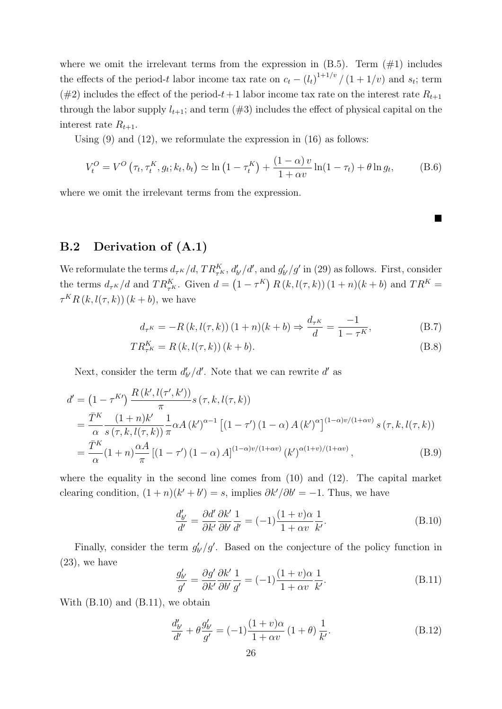where we omit the irrelevant terms from the expression in  $(B.5)$ . Term  $(\#1)$  includes the effects of the period-t labor income tax rate on  $c_t - (l_t)^{1+1/v} / (1+1/v)$  and  $s_t$ ; term (#2) includes the effect of the period-t + 1 labor income tax rate on the interest rate  $R_{t+1}$ through the labor supply  $l_{t+1}$ ; and term  $(\#3)$  includes the effect of physical capital on the interest rate  $R_{t+1}$ .

Using  $(9)$  and  $(12)$ , we reformulate the expression in  $(16)$  as follows:

$$
V_t^O = V^O(\tau_t, \tau_t^K, g_t; k_t, b_t) \simeq \ln(1 - \tau_t^K) + \frac{(1 - \alpha)v}{1 + \alpha v} \ln(1 - \tau_t) + \theta \ln g_t,
$$
 (B.6)

where we omit the irrelevant terms from the expression.

#### B.2 Derivation of (A.1)

We reformulate the terms  $d_{\tau^K}/d$ ,  $TR_{\tau^K}^K$ ,  $d'_{b'}/d'$ , and  $g'_{b'}/g'$  in (29) as follows. First, consider the terms  $d_{\tau^K}/d$  and  $TR_{\tau^K}^K$ . Given  $d = (1 - \tau^K) R(k, l(\tau, k)) (1 + n)(k + b)$  and  $TR^K =$  $\tau^K R(k, l(\tau, k))$   $(k + b)$ , we have

$$
d_{\tau^K} = -R(k, l(\tau, k))(1 + n)(k + b) \Rightarrow \frac{d_{\tau^K}}{d} = \frac{-1}{1 - \tau^K},
$$
 (B.7)

■

$$
TR_{\tau^K}^K = R(k, l(\tau, k))(k + b).
$$
 (B.8)

Next, consider the term  $d'_{b'}/d'$ . Note that we can rewrite d'as

$$
d' = (1 - \tau^{K'}) \frac{R(k', l(\tau', k'))}{\pi} s(\tau, k, l(\tau, k))
$$
  
= 
$$
\frac{\bar{T}^K}{\alpha} \frac{(1 + n)k'}{s(\tau, k, l(\tau, k))} \frac{1}{\pi} \alpha A(k')^{\alpha - 1} [(1 - \tau') (1 - \alpha) A(k')^{\alpha}]^{(1 - \alpha)v/(1 + \alpha v)} s(\tau, k, l(\tau, k))
$$
  
= 
$$
\frac{\bar{T}^K}{\alpha} (1 + n) \frac{\alpha A}{\pi} [(1 - \tau') (1 - \alpha) A]^{(1 - \alpha)v/(1 + \alpha v)} (k')^{\alpha(1 + v)/(1 + \alpha v)},
$$
(B.9)

where the equality in the second line comes from  $(10)$  and  $(12)$ . The capital market clearing condition,  $(1 + n)(k' + b') = s$ , implies  $\partial k'/\partial b' = -1$ . Thus, we have

$$
\frac{d'_{b'}}{d'} = \frac{\partial d'}{\partial k'} \frac{\partial k'}{\partial b'} \frac{1}{d'} = (-1) \frac{(1+v)\alpha}{1+\alpha v} \frac{1}{k'}.
$$
\n(B.10)

Finally, consider the term  $g'_{b'}/g'$ . Based on the conjecture of the policy function in  $(23)$ , we have

$$
\frac{g'_{b'}}{g'} = \frac{\partial g'}{\partial k'} \frac{\partial k'}{\partial b'} \frac{1}{g'} = (-1) \frac{(1+v)\alpha}{1+\alpha v} \frac{1}{k'}.
$$
\n(B.11)

With  $(B.10)$  and  $(B.11)$ , we obtain

$$
\frac{d'_{b'}}{d'} + \theta \frac{g'_{b'}}{g'} = (-1)\frac{(1+v)\alpha}{1+\alpha v} (1+\theta) \frac{1}{k'}.
$$
\n(B.12)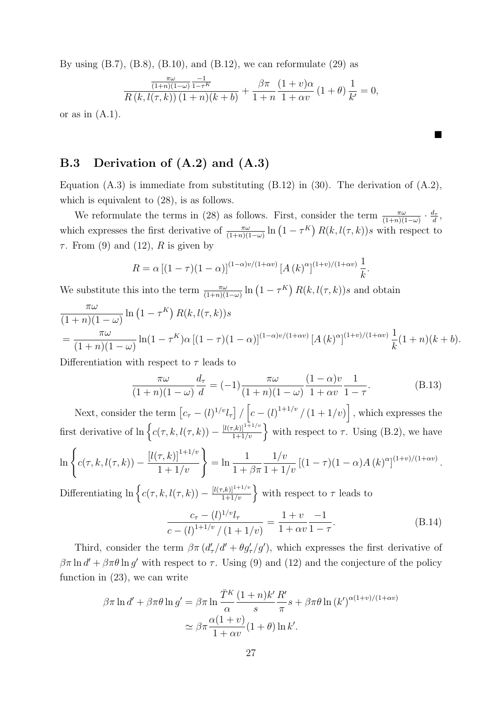By using  $(B.7)$ ,  $(B.8)$ ,  $(B.10)$ , and  $(B.12)$ , we can reformulate  $(29)$  as

$$
\frac{\pi\omega}{R(k, l(\tau, k))} \frac{-1}{1-\tau^{K}} + \frac{\beta\pi}{1+n} \frac{(1+v)\alpha}{1+\alpha v} (1+\theta) \frac{1}{k'} = 0,
$$

■

or as in  $(A.1)$ .

#### B.3 Derivation of (A.2) and (A.3)

Equation  $(A.3)$  is immediate from substituting  $(B.12)$  in  $(30)$ . The derivation of  $(A.2)$ , which is equivalent to  $(28)$ , is as follows.

We reformulate the terms in (28) as follows. First, consider the term  $\frac{\pi\omega}{(1+n)(1-\omega)} \cdot \frac{d_i}{d}$  $\frac{\imath_{\tau}}{d},$ which expresses the first derivative of  $\frac{\pi\omega}{(1+n)(1-\omega)}\ln(1-\tau^K) R(k,l(\tau,k))s$  with respect to  $\tau$ . From (9) and (12), R is given by

$$
R = \alpha \left[ (1 - \tau)(1 - \alpha) \right]^{(1 - \alpha)v/(1 + \alpha v)} \left[ A \left( k \right)^{\alpha} \right]^{(1 + v)/(1 + \alpha v)} \frac{1}{k}.
$$

We substitute this into the term  $\frac{\pi\omega}{(1+n)(1-\omega)}\ln(1-\tau^K) R(k,l(\tau,k))s$  and obtain

$$
\frac{\pi\omega}{(1+n)(1-\omega)}\ln(1-\tau^K) R(k,l(\tau,k))s
$$
  
= 
$$
\frac{\pi\omega}{(1+n)(1-\omega)}\ln(1-\tau^K)\alpha [(1-\tau)(1-\alpha)]^{(1-\alpha)\nu/(1+\alpha\nu)} [A(k)^{\alpha}]^{(1+\nu)/(1+\alpha\nu)} \frac{1}{k}(1+n)(k+b).
$$

Differentiation with respect to  $\tau$  leads to

$$
\frac{\pi\omega}{(1+n)(1-\omega)}\frac{d_{\tau}}{d} = (-1)\frac{\pi\omega}{(1+n)(1-\omega)}\frac{(1-\alpha)v}{1+\alpha v}\frac{1}{1-\tau}.
$$
\n(B.13)

Next, consider the term  $[c_{\tau} - (l)^{1/v} l_{\tau}] / [c - (l)^{1+1/v} / (1 + 1/v)]$ , which expresses the first derivative of  $\ln \left\{ c(\tau, k, l(\tau, k)) - \frac{[l(\tau, k)]^{1+1/v}}{1+1/v} \right\}$  with respect to  $\tau$ . Using (B.2), we have  $\ln \bigg\{ c(\tau, k, l(\tau, k)) \left\{\frac{l(\tau, k)}{1 + 1/v}\right\} = \ln \frac{1}{1 + 1/v}$  $1 + \beta \pi$  $1/v$  $\frac{1/v}{1+1/v}$   $[(1-\tau)(1-\alpha)A(k)^{\alpha}]^{(1+v)/(1+\alpha v)}$ .

Differentiating  $\ln \left\{ c(\tau, k, l(\tau, k)) - \frac{[l(\tau, k)]^{1+1/v}}{1+1/v} \right\}$  with respect to  $\tau$  leads to

$$
\frac{c_{\tau} - (l)^{1/v} l_{\tau}}{c - (l)^{1+1/v} / (1 + 1/v)} = \frac{1+v}{1+\alpha v} \frac{-1}{1-\tau}.
$$
\n(B.14)

Third, consider the term  $\beta \pi (d'_{\tau}/d' + \theta g'_{\tau}/g')$ , which expresses the first derivative of  $\beta \pi \ln d' + \beta \pi \theta \ln g'$  with respect to  $\tau$ . Using (9) and (12) and the conjecture of the policy function in (23), we can write

$$
\beta \pi \ln d' + \beta \pi \theta \ln g' = \beta \pi \ln \frac{\overline{T}^K}{\alpha} \frac{(1+n)k'}{s} \frac{R'}{\pi} s + \beta \pi \theta \ln (k')^{\alpha(1+v)/(1+\alpha v)}
$$

$$
\simeq \beta \pi \frac{\alpha(1+v)}{1+\alpha v} (1+\theta) \ln k'.
$$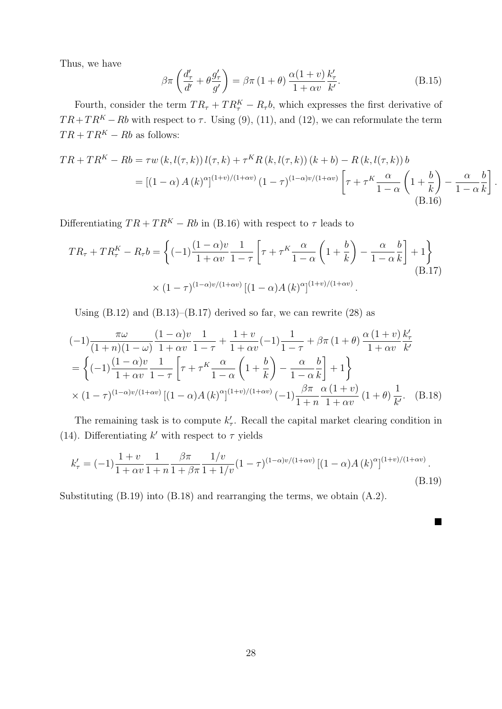Thus, we have

$$
\beta \pi \left( \frac{d'_{\tau}}{d'} + \theta \frac{g'_{\tau}}{g'} \right) = \beta \pi \left( 1 + \theta \right) \frac{\alpha (1 + v)}{1 + \alpha v} \frac{k'_{\tau}}{k'}.
$$
 (B.15)

Fourth, consider the term  $TR_{\tau} + TR_{\tau}^{K} - R_{\tau}b$ , which expresses the first derivative of  $TR+TR<sup>K</sup> - Rb$  with respect to  $\tau$ . Using (9), (11), and (12), we can reformulate the term  $TR + TR^K - Rb$  as follows:

$$
TR + TR^{K} - Rb = \tau w \left(k, l(\tau, k)\right) l(\tau, k) + \tau^{K} R \left(k, l(\tau, k)\right) \left(k + b\right) - R \left(k, l(\tau, k)\right) b
$$
  
= 
$$
\left[(1 - \alpha) A \left(k\right)^{\alpha}\right]^{(1+v)/(1+\alpha v)} \left(1 - \tau\right)^{(1-\alpha)v/(1+\alpha v)} \left[\tau + \tau^{K} \frac{\alpha}{1 - \alpha} \left(1 + \frac{b}{k}\right) - \frac{\alpha}{1 - \alpha} \frac{b}{k}\right].
$$
  
(B.16)

Differentiating  $TR + TR^K - Rb$  in (B.16) with respect to  $\tau$  leads to

$$
TR_{\tau} + TR_{\tau}^{K} - R_{\tau}b = \left\{ (-1)^{\frac{(1-\alpha)v}{1+\alpha v}} \frac{1}{1-\tau} \left[ \tau + \tau^{K} \frac{\alpha}{1-\alpha} \left( 1 + \frac{b}{k} \right) - \frac{\alpha}{1-\alpha} \frac{b}{k} \right] + 1 \right\}
$$
  
 
$$
\times (1-\tau)^{(1-\alpha)v/(1+\alpha v)} \left[ (1-\alpha)A(k)^{\alpha} \right]^{(1+v)/(1+\alpha v)}.
$$
 (B.17)

Using  $(B.12)$  and  $(B.13)$ – $(B.17)$  derived so far, we can rewrite  $(28)$  as

$$
(-1)\frac{\pi\omega}{(1+n)(1-\omega)}\frac{(1-\alpha)v}{1+\alpha v}\frac{1}{1-\tau} + \frac{1+v}{1+\alpha v}(-1)\frac{1}{1-\tau} + \beta\pi (1+\theta)\frac{\alpha (1+v)}{1+\alpha v}\frac{k'_{\tau}}{k'}
$$
  
=  $\left\{(-1)\frac{(1-\alpha)v}{1+\alpha v}\frac{1}{1-\tau}\left[\tau + \tau^{K}\frac{\alpha}{1-\alpha}\left(1+\frac{b}{k}\right) - \frac{\alpha}{1-\alpha}\frac{b}{k}\right] + 1\right\}$   
 $\times (1-\tau)^{(1-\alpha)v/(1+\alpha v)}[(1-\alpha)A(k)^{\alpha}]^{(1+v)/(1+\alpha v)}(-1)\frac{\beta\pi}{1+n}\frac{\alpha (1+v)}{1+\alpha v}(1+\theta)\frac{1}{k'}. \quad (B.18)$ 

The remaining task is to compute  $k'_{\tau}$ . Recall the capital market clearing condition in (14). Differentiating  $k'$  with respect to  $\tau$  yields

$$
k'_{\tau} = (-1)\frac{1+v}{1+\alpha v} \frac{1}{1+n} \frac{\beta \pi}{1+\beta \pi} \frac{1/v}{1+1/v} (1-\tau)^{(1-\alpha)v/(1+\alpha v)} \left[ (1-\alpha)A(k)^{\alpha} \right]^{(1+v)/(1+\alpha v)}.
$$
\n(B.19)

■

Substituting (B.19) into (B.18) and rearranging the terms, we obtain (A.2).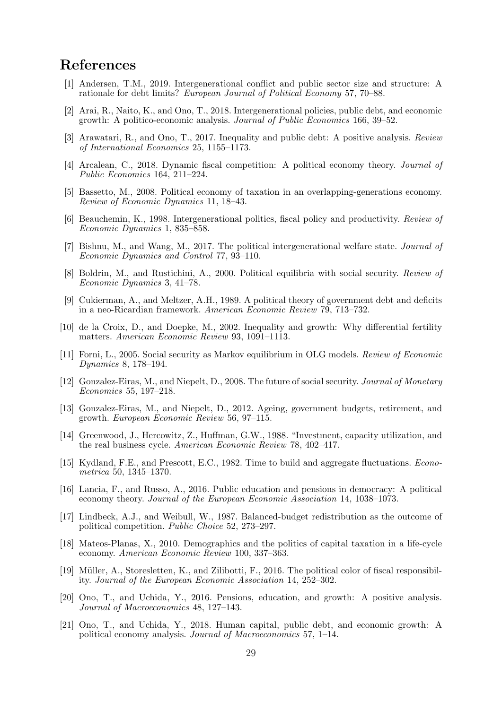### References

- [1] Andersen, T.M., 2019. Intergenerational conflict and public sector size and structure: A rationale for debt limits? European Journal of Political Economy 57, 70–88.
- [2] Arai, R., Naito, K., and Ono, T., 2018. Intergenerational policies, public debt, and economic growth: A politico-economic analysis. Journal of Public Economics 166, 39–52.
- [3] Arawatari, R., and Ono, T., 2017. Inequality and public debt: A positive analysis. Review of International Economics 25, 1155–1173.
- [4] Arcalean, C., 2018. Dynamic fiscal competition: A political economy theory. Journal of Public Economics 164, 211–224.
- [5] Bassetto, M., 2008. Political economy of taxation in an overlapping-generations economy. Review of Economic Dynamics 11, 18–43.
- [6] Beauchemin, K., 1998. Intergenerational politics, fiscal policy and productivity. Review of Economic Dynamics 1, 835–858.
- [7] Bishnu, M., and Wang, M., 2017. The political intergenerational welfare state. Journal of Economic Dynamics and Control 77, 93–110.
- [8] Boldrin, M., and Rustichini, A., 2000. Political equilibria with social security. Review of Economic Dynamics 3, 41–78.
- [9] Cukierman, A., and Meltzer, A.H., 1989. A political theory of government debt and deficits in a neo-Ricardian framework. American Economic Review 79, 713–732.
- [10] de la Croix, D., and Doepke, M., 2002. Inequality and growth: Why differential fertility matters. American Economic Review 93, 1091–1113.
- [11] Forni, L., 2005. Social security as Markov equilibrium in OLG models. Review of Economic Dynamics 8, 178–194.
- [12] Gonzalez-Eiras, M., and Niepelt, D., 2008. The future of social security. Journal of Monetary Economics 55, 197–218.
- [13] Gonzalez-Eiras, M., and Niepelt, D., 2012. Ageing, government budgets, retirement, and growth. European Economic Review 56, 97–115.
- [14] Greenwood, J., Hercowitz, Z., Huffman, G.W., 1988. "Investment, capacity utilization, and the real business cycle. American Economic Review 78, 402–417.
- [15] Kydland, F.E., and Prescott, E.C., 1982. Time to build and aggregate fluctuations. Econometrica 50, 1345–1370.
- [16] Lancia, F., and Russo, A., 2016. Public education and pensions in democracy: A political economy theory. Journal of the European Economic Association 14, 1038–1073.
- [17] Lindbeck, A.J., and Weibull, W., 1987. Balanced-budget redistribution as the outcome of political competition. Public Choice 52, 273–297.
- [18] Mateos-Planas, X., 2010. Demographics and the politics of capital taxation in a life-cycle economy. American Economic Review 100, 337–363.
- [19] Müller, A., Storesletten, K., and Zilibotti, F., 2016. The political color of fiscal responsibility. Journal of the European Economic Association 14, 252–302.
- [20] Ono, T., and Uchida, Y., 2016. Pensions, education, and growth: A positive analysis. Journal of Macroeconomics 48, 127–143.
- [21] Ono, T., and Uchida, Y., 2018. Human capital, public debt, and economic growth: A political economy analysis. Journal of Macroeconomics 57, 1–14.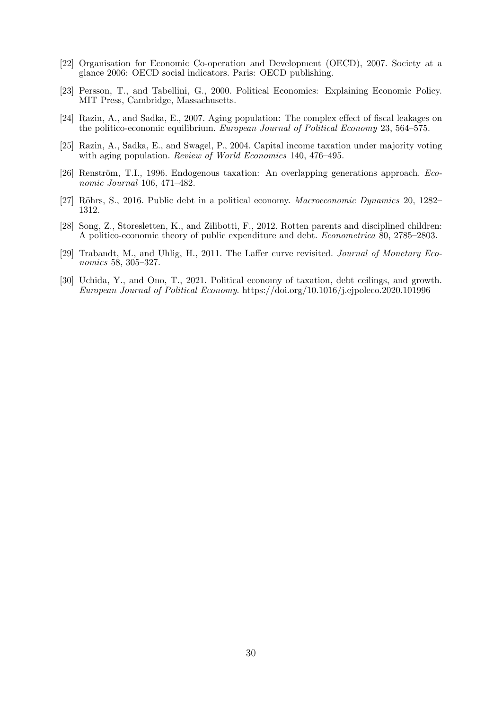- [22] Organisation for Economic Co-operation and Development (OECD), 2007. Society at a glance 2006: OECD social indicators. Paris: OECD publishing.
- [23] Persson, T., and Tabellini, G., 2000. Political Economics: Explaining Economic Policy. MIT Press, Cambridge, Massachusetts.
- [24] Razin, A., and Sadka, E., 2007. Aging population: The complex effect of fiscal leakages on the politico-economic equilibrium. European Journal of Political Economy 23, 564–575.
- [25] Razin, A., Sadka, E., and Swagel, P., 2004. Capital income taxation under majority voting with aging population. *Review of World Economics* 140, 476–495.
- [26] Renström, T.I., 1996. Endogenous taxation: An overlapping generations approach. Economic Journal 106, 471–482.
- [27] Röhrs, S., 2016. Public debt in a political economy. Macroeconomic Dynamics 20, 1282– 1312.
- [28] Song, Z., Storesletten, K., and Zilibotti, F., 2012. Rotten parents and disciplined children: A politico-economic theory of public expenditure and debt. Econometrica 80, 2785–2803.
- [29] Trabandt, M., and Uhlig, H., 2011. The Laffer curve revisited. Journal of Monetary Economics 58, 305–327.
- [30] Uchida, Y., and Ono, T., 2021. Political economy of taxation, debt ceilings, and growth. European Journal of Political Economy. https://doi.org/10.1016/j.ejpoleco.2020.101996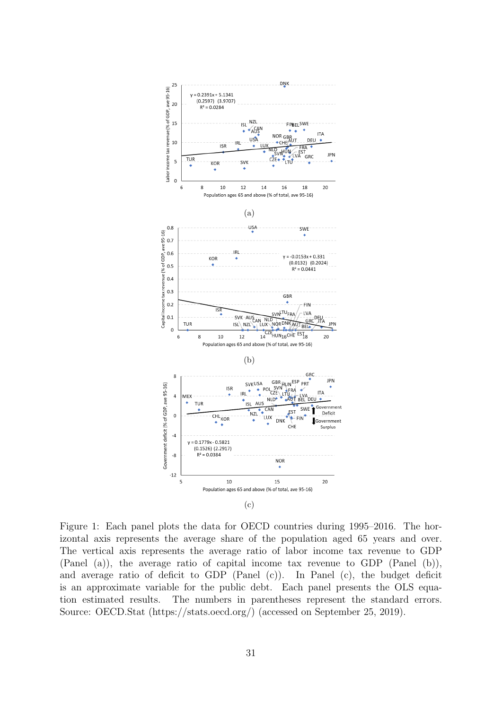

Figure 1: Each panel plots the data for OECD countries during 1995–2016. The horizontal axis represents the average share of the population aged 65 years and over. The vertical axis represents the average ratio of labor income tax revenue to GDP (Panel (a)), the average ratio of capital income tax revenue to GDP (Panel (b)), and average ratio of deficit to GDP (Panel (c)). In Panel (c), the budget deficit is an approximate variable for the public debt. Each panel presents the OLS equation estimated results. The numbers in parentheses represent the standard errors. Source: OECD.Stat (https://stats.oecd.org/) (accessed on September 25, 2019).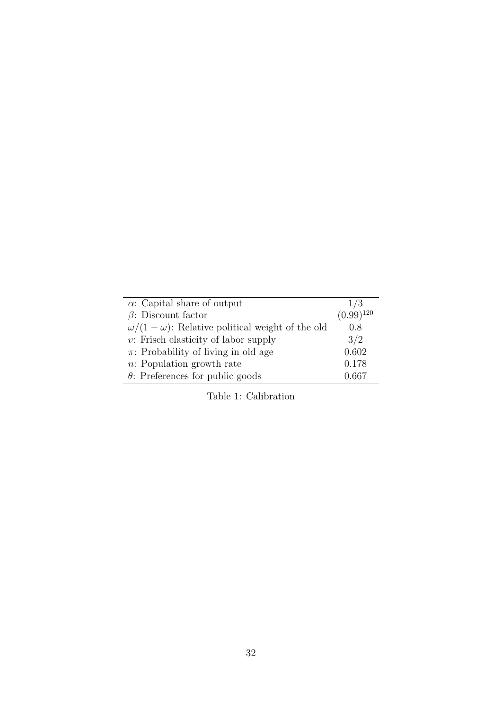| $\alpha$ : Capital share of output                         | 1/3            |
|------------------------------------------------------------|----------------|
| $\beta$ : Discount factor                                  | $(0.99)^{120}$ |
| $\omega/(1-\omega)$ : Relative political weight of the old | 0.8            |
| $v$ : Frisch elasticity of labor supply                    | 3/2            |
| $\pi$ : Probability of living in old age                   | 0.602          |
| $n:$ Population growth rate                                | 0.178          |
| $\theta$ : Preferences for public goods                    | 0.667          |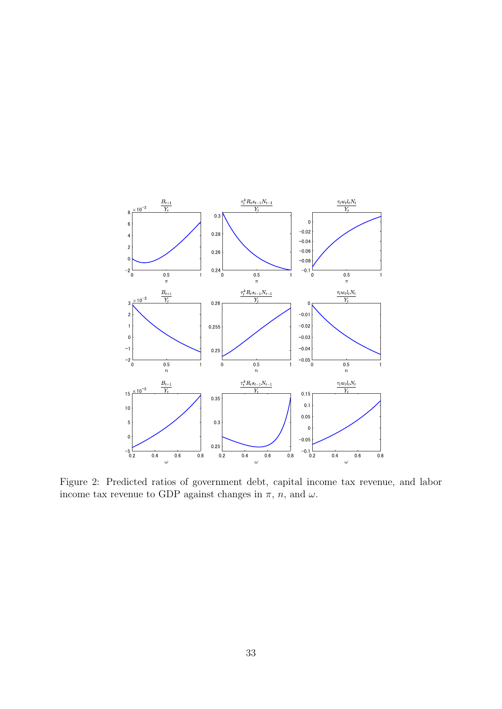

Figure 2: Predicted ratios of government debt, capital income tax revenue, and labor income tax revenue to GDP against changes in  $\pi$ ,  $n$ , and  $\omega$ .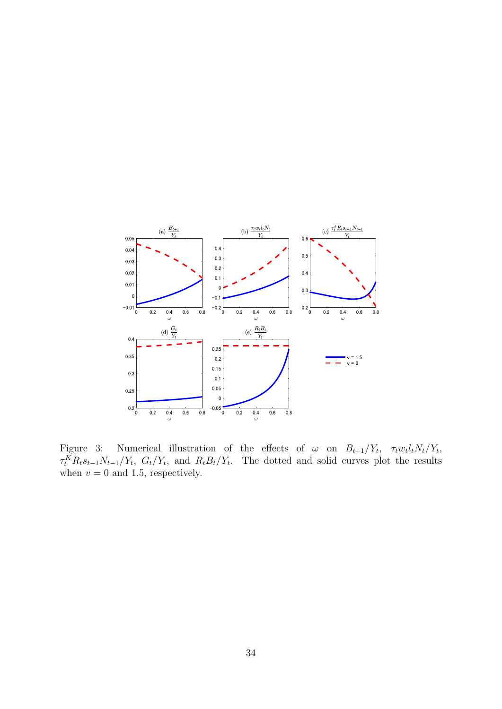

Figure 3: Numerical illustration of the effects of  $\omega$  on  $B_{t+1}/Y_t$ ,  $\tau_t w_t l_t N_t/Y_t$ ,  $\tau_t^K R_t s_{t-1} N_{t-1}/Y_t$ ,  $G_t/Y_t$ , and  $R_t B_t/Y_t$ . The dotted and solid curves plot the results when  $v = 0$  and 1.5, respectively.